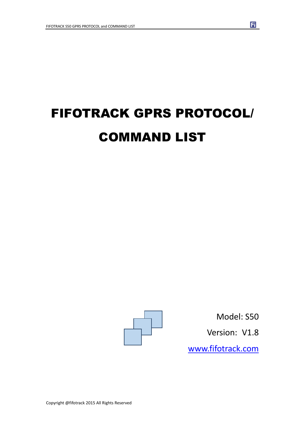# FIFOTRACK GPRS PROTOCOL/ COMMAND LIST



Model: S50 Version: V1.8

団

www.fifotrack.com

Copyright @fifotrack 2015 All Rights Reserved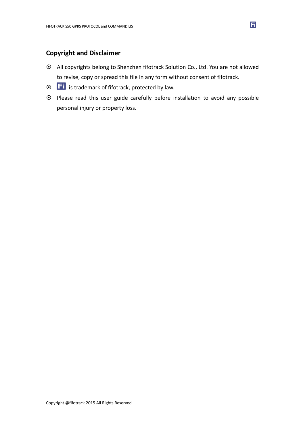### **Copyright and Disclaimer**

- All copyrights belong to Shenzhen fifotrack Solution Co., Ltd. You are not allowed to revise, copy or spread this file in any form without consent of fifotrack.
- $\odot$   $\Box$  is trademark of fifotrack, protected by law.
- Please read this user guide carefully before installation to avoid any possible personal injury or property loss.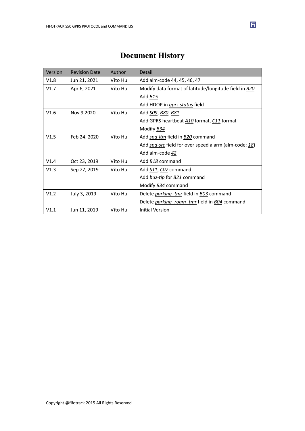| Version | <b>Revision Date</b> | Author  | Detail                                                |
|---------|----------------------|---------|-------------------------------------------------------|
| V1.8    | Jun 21, 2021         | Vito Hu | Add alm-code 44, 45, 46, 47                           |
| V1.7    | Apr 6, 2021          | Vito Hu | Modify data format of latitude/longitude field in B20 |
|         |                      |         | Add B15                                               |
|         |                      |         | Add HDOP in <i>gprs.status</i> field                  |
| V1.6    | Nov 9,2020           | Vito Hu | Add <u>S09, B80, B81</u>                              |
|         |                      |         | Add GPRS heartbeat A10 format, C11 format             |
|         |                      |         | Modify B34                                            |
| V1.5    | Feb 24, 2020         | Vito Hu | Add spd-ltm field in B20 command                      |
|         |                      |         | Add spd-src field for over speed alarm (alm-code: 18) |
|         |                      |         | Add alm-code 42                                       |
| V1.4    | Oct 23, 2019         | Vito Hu | Add B18 command                                       |
| V1.3    | Sep 27, 2019         | Vito Hu | Add S11, CO7 command                                  |
|         |                      |         | Add buz-tip for B21 command                           |
|         |                      |         | Modify <b>B34</b> command                             |
| V1.2    | July 3, 2019         | Vito Hu | Delete <i>parking tmr</i> field in <b>B03</b> command |
|         |                      |         | Delete parking roam tmr field in BO4 command          |
| V1.1    | Jun 11, 2019         | Vito Hu | <b>Initial Version</b>                                |

### **Document History**

Copyright @fifotrack 2015 All Rights Reserved

団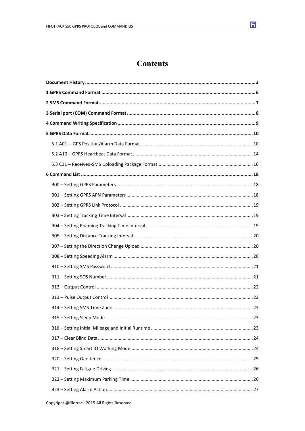

### **Contents**

| 23 |
|----|
|    |
|    |
|    |
|    |
|    |
|    |
|    |
|    |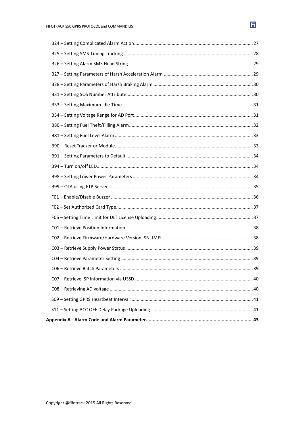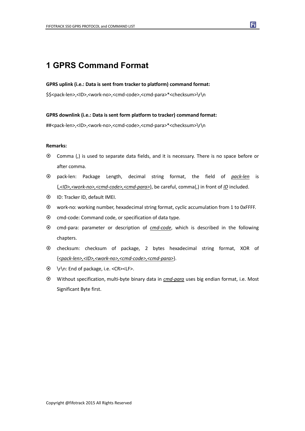### **1 GPRS Command Format**

#### **GPRS uplink (i.e.: Data is sent from tracker to platform) command format:**

\$\$<pack-len>,<ID>,<work-no>,<cmd-code>,<cmd-para>\*<checksum>\r\n

#### **GPRS downlink (i.e.: Data is sent form platform to tracker) command format:**

##<pack-len>,<ID>,<work-no>,<cmd-code>,<cmd-para>\*<checksum>\r\n

#### **Remarks:**

- Comma (,) is used to separate data fields, and it is necessary. There is no space before or after comma.
- pack-len: Package Length, decimal string format, the field of *pack-len* is {*,<ID>,<work-no>,<cmd-code>,<cmd-para>*}, be careful, comma(,) in front of *ID* included.
- ID: Tracker ID, default IMEI.
- work-no: working number, hexadecimal string format, cyclic accumulation from 1 to 0xFFFF.
- $\odot$  cmd-code: Command code, or specification of data type.
- cmd-para: parameter or description of *cmd-code*, which is described in the following chapters.
- checksum: checksum of package, 2 bytes hexadecimal string format, XOR of {*<pack-len>,<ID>,<work-no>,<cmd-code>,<cmd-para>*}.
- \r\n: End of package, i.e. <CR><LF>.
- Without specification, multi-byte binary data in *cmd-para* uses big endian format, i.e. Most Significant Byte first.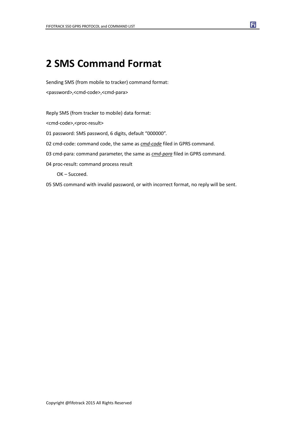# **2 SMS Command Format**

Sending SMS (from mobile to tracker) command format: <password>,<cmd-code>,<cmd-para>

Reply SMS (from tracker to mobile) data format: <cmd-code>,<proc-result> 01 password: SMS password, 6 digits, default "000000". 02 cmd-code: command code, the same as *cmd-code* filed in GPRS command. 03 cmd-para: command parameter, the same as *cmd-para* filed in GPRS command. 04 proc-result: command process result OK – Succeed.

05 SMS command with invalid password, or with incorrect format, no reply will be sent.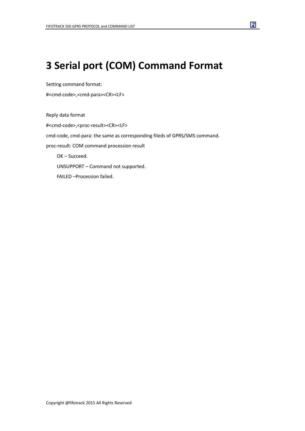# **3 Serial port (COM) Command Format**

Setting command format:

#<cmd-code>,<cmd-para><CR><LF>

Reply data format #<cmd-code>,<proc-result><CR><LF> cmd-code, cmd-para: the same as corresponding fileds of GPRS/SMS command. proc-result: COM command procession result OK – Succeed. UNSUPPORT – Command not supported. FAILED –Procession failed.

Ħ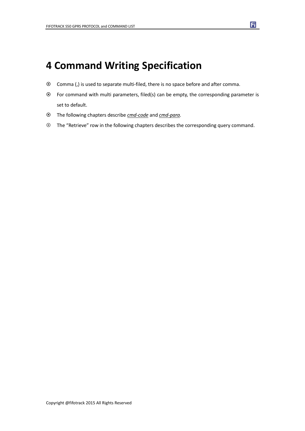### **4 Command Writing Specification**

- Comma (,) is used to separate multi-filed, there is no space before and after comma.
- $\odot$  For command with multi parameters, filed(s) can be empty, the corresponding parameter is set to default.
- The following chapters describe *cmd-code* and *cmd-para.*
- The "Retrieve" row in the following chapters describes the corresponding query command.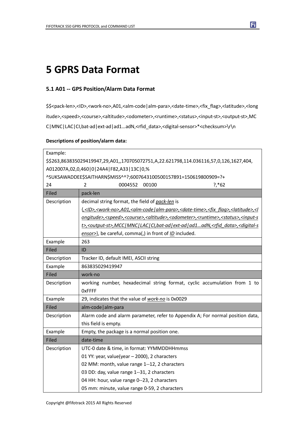# **5 GPRS Data Format**

### **5.1 A01 -- GPS Position/Alarm Data Format**

\$\$<pack-len>,<ID>,<work-no>,A01,<alm-code|alm-para>,<date-time>,<fix\_flag>,<latitude>,<long itude>,<speed>,<course>,<altitude>,<odometer>,<runtime>,<status>,<input-st>,<output-st>,MC C|MNC|LAC|CI,bat-ad|ext-ad|ad1…adN,<rfid\_data>,<digital-sensor>\*<checksum>\r\n

#### **Descriptions of position/alarm data:**

| Example:                                                                               |                                                                                                                                                                 |  |
|----------------------------------------------------------------------------------------|-----------------------------------------------------------------------------------------------------------------------------------------------------------------|--|
| \$\$263,863835029419947,29,A01,,170705072751,A,22.621798,114.036116,57,0,126,1627,404, |                                                                                                                                                                 |  |
| A012007A,02,0,460 0 24A4 F82,A33 13C 0,%                                               |                                                                                                                                                                 |  |
|                                                                                        | ^SUKSAWADDEE\$SAITHARN\$MISS^^?;6007643100500157891=150619800909=?+                                                                                             |  |
| 24                                                                                     | 0004552<br>00100<br>$?.*62$<br>2                                                                                                                                |  |
| Filed                                                                                  | pack-len                                                                                                                                                        |  |
| Description                                                                            | decimal string format, the field of pack-len is                                                                                                                 |  |
|                                                                                        | { <id>,<work-no>,A01,<alm-code alm-para>,<date-time>,<fix_flag>,<latitude>,<l< td=""></l<></latitude></fix_flag></date-time></alm-code alm-para></work-no></id> |  |
|                                                                                        | ongitude>, <speed>,<course>,<altitude>,<odometer>,<runtime>,<status>,<input-s< td=""></input-s<></status></runtime></odometer></altitude></course></speed>      |  |
|                                                                                        | t>, <output-st>,MCC MNC LAC CI,bat-ad ext-ad ad1adN,<rfid data="">,<digital-s< td=""></digital-s<></rfid></output-st>                                           |  |
|                                                                                        | ensor>}, be careful, comma(,) in front of <i>ID</i> included.                                                                                                   |  |
| Example                                                                                | 263                                                                                                                                                             |  |
| Filed                                                                                  | ID                                                                                                                                                              |  |
| Description                                                                            | Tracker ID, default IMEI, ASCII string                                                                                                                          |  |
| Example                                                                                | 863835029419947                                                                                                                                                 |  |
| Filed                                                                                  | work-no                                                                                                                                                         |  |
| Description                                                                            | working number, hexadecimal string format, cyclic accumulation from 1 to                                                                                        |  |
|                                                                                        | OxFFFF                                                                                                                                                          |  |
| Example                                                                                | 29, indicates that the value of work-no is 0x0029                                                                                                               |  |
| Filed                                                                                  | alm-code   alm-para                                                                                                                                             |  |
| Description                                                                            | Alarm code and alarm parameter, refer to Appendix A; For normal position data,                                                                                  |  |
|                                                                                        | this field is empty.                                                                                                                                            |  |
| Example                                                                                | Empty, the package is a normal position one.                                                                                                                    |  |
| Filed                                                                                  | date-time                                                                                                                                                       |  |
| Description                                                                            | UTC-0 date & time, in format: YYMMDDHHmmss                                                                                                                      |  |
|                                                                                        | 01 YY: year, value(year - 2000), 2 characters                                                                                                                   |  |
|                                                                                        | 02 MM: month, value range 1--12, 2 characters                                                                                                                   |  |
|                                                                                        | 03 DD: day, value range 1--31, 2 characters                                                                                                                     |  |
|                                                                                        | 04 HH: hour, value range 0--23, 2 characters                                                                                                                    |  |
|                                                                                        | 05 mm: minute, value range 0-59, 2 characters                                                                                                                   |  |

Ħ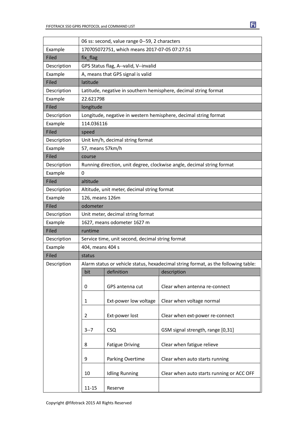|             | 06 ss: second, value range 0--59, 2 characters |                                                  |                                                                                    |  |
|-------------|------------------------------------------------|--------------------------------------------------|------------------------------------------------------------------------------------|--|
| Example     | 170705072751, which means 2017-07-05 07:27:51  |                                                  |                                                                                    |  |
| Filed       | fix_flag                                       |                                                  |                                                                                    |  |
| Description | GPS Status flag, A--valid, V--invalid          |                                                  |                                                                                    |  |
| Example     | A, means that GPS signal is valid              |                                                  |                                                                                    |  |
| Filed       | latitude                                       |                                                  |                                                                                    |  |
| Description |                                                |                                                  | Latitude, negative in southern hemisphere, decimal string format                   |  |
| Example     | 22.621798                                      |                                                  |                                                                                    |  |
| Filed       | longitude                                      |                                                  |                                                                                    |  |
| Description |                                                |                                                  | Longitude, negative in western hemisphere, decimal string format                   |  |
| Example     | 114.036116                                     |                                                  |                                                                                    |  |
| Filed       | speed                                          |                                                  |                                                                                    |  |
| Description |                                                | Unit km/h, decimal string format                 |                                                                                    |  |
| Example     | 57, means 57km/h                               |                                                  |                                                                                    |  |
| Filed       | course                                         |                                                  |                                                                                    |  |
| Description |                                                |                                                  | Running direction, unit degree, clockwise angle, decimal string format             |  |
| Example     | $\mathbf 0$                                    |                                                  |                                                                                    |  |
| Filed       | altitude                                       |                                                  |                                                                                    |  |
| Description |                                                | Altitude, unit meter, decimal string format      |                                                                                    |  |
| Example     | 126, means 126m                                |                                                  |                                                                                    |  |
| Filed       | odometer                                       |                                                  |                                                                                    |  |
| Description |                                                | Unit meter, decimal string format                |                                                                                    |  |
| Example     |                                                | 1627, means odometer 1627 m                      |                                                                                    |  |
| Filed       | runtime                                        |                                                  |                                                                                    |  |
| Description |                                                | Service time, unit second, decimal string format |                                                                                    |  |
| Example     | 404, means 404 s                               |                                                  |                                                                                    |  |
| Filed       | status                                         |                                                  |                                                                                    |  |
| Description |                                                |                                                  | Alarm status or vehicle status, hexadecimal string format, as the following table: |  |
|             | bit                                            | definition                                       | description                                                                        |  |
|             | 0                                              | GPS antenna cut                                  | Clear when antenna re-connect                                                      |  |
|             | $\mathbf 1$                                    | Ext-power low voltage                            | Clear when voltage normal                                                          |  |
|             | 2                                              | Ext-power lost                                   | Clear when ext-power re-connect                                                    |  |
|             | $3 - 7$                                        | <b>CSQ</b>                                       | GSM signal strength, range [0,31]                                                  |  |
|             | 8                                              | <b>Fatigue Driving</b>                           | Clear when fatigue relieve                                                         |  |
|             | 9                                              | Parking Overtime                                 | Clear when auto starts running                                                     |  |
|             | 10                                             | <b>Idling Running</b>                            | Clear when auto starts running or ACC OFF                                          |  |
|             | $11 - 15$                                      | Reserve                                          |                                                                                    |  |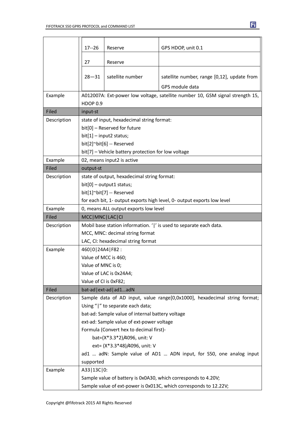|             | $17 - 26$              | Reserve                                             | GPS HDOP, unit 0.1                                                                                                                  |
|-------------|------------------------|-----------------------------------------------------|-------------------------------------------------------------------------------------------------------------------------------------|
|             |                        |                                                     |                                                                                                                                     |
|             | 27                     | Reserve                                             |                                                                                                                                     |
|             | $28 - 31$              | satellite number                                    | satellite number, range [0,12], update from                                                                                         |
|             |                        |                                                     | GPS module data                                                                                                                     |
| Example     |                        |                                                     | A012007A: Ext-power low voltage, satellite number 10, GSM signal strength 15,                                                       |
|             | <b>HDOP 0.9</b>        |                                                     |                                                                                                                                     |
| Filed       | input-st               |                                                     |                                                                                                                                     |
| Description |                        | state of input, hexadecimal string format:          |                                                                                                                                     |
|             |                        | bit[0] - Reserved for future                        |                                                                                                                                     |
|             |                        | $bit[1]$ - input2 status;                           |                                                                                                                                     |
|             |                        | bit[2]~bit[6] -- Reserved                           |                                                                                                                                     |
|             |                        | bit[7] - Vehicle battery protection for low voltage |                                                                                                                                     |
| Example     |                        | 02, means input2 is active                          |                                                                                                                                     |
| Filed       | output-st              |                                                     |                                                                                                                                     |
| Description |                        | state of output, hexadecimal string format:         |                                                                                                                                     |
|             |                        | $bit[0]$ – output1 status;                          |                                                                                                                                     |
|             |                        | bit[1]~bit[7] -- Reserved                           |                                                                                                                                     |
|             |                        |                                                     | for each bit, 1- output exports high level, 0- output exports low level                                                             |
| Example     |                        | 0, means ALL output exports low level               |                                                                                                                                     |
|             | MCC   MNC   LAC   CI   |                                                     |                                                                                                                                     |
| Filed       |                        |                                                     |                                                                                                                                     |
| Description |                        |                                                     | Mobil base station information. ' ' is used to separate each data.                                                                  |
|             |                        | MCC, MNC: decimal string format                     |                                                                                                                                     |
|             |                        | LAC, CI: hexadecimal string format                  |                                                                                                                                     |
| Example     | 460   0   24A4   F82 : |                                                     |                                                                                                                                     |
|             | Value of MCC is 460;   |                                                     |                                                                                                                                     |
|             | Value of MNC is 0;     |                                                     |                                                                                                                                     |
|             |                        | Value of LAC is 0x24A4;                             |                                                                                                                                     |
|             | Value of CI is 0xF82;  |                                                     |                                                                                                                                     |
| Filed       |                        | bat-ad   ext-ad   ad1adN                            |                                                                                                                                     |
| Description |                        |                                                     | Sample data of AD input, value range[0,0x1000], hexadecimal string format;                                                          |
|             |                        | Using " " to separate each data;                    |                                                                                                                                     |
|             |                        | bat-ad: Sample value of internal battery voltage    |                                                                                                                                     |
|             |                        | ext-ad: Sample value of ext-power voltage           |                                                                                                                                     |
|             |                        | Formula (Convert hex to decimal first)-             |                                                                                                                                     |
|             |                        | bat=(X*3.3*2)/4096, unit: V                         |                                                                                                                                     |
|             |                        | ext= (X*3.3*48)/4096, unit: V                       |                                                                                                                                     |
|             |                        |                                                     | ad1  adN: Sample value of AD1  ADN input, for S50, one analog input                                                                 |
|             | supported              |                                                     |                                                                                                                                     |
| Example     | A33 13C 0:             |                                                     |                                                                                                                                     |
|             |                        |                                                     | Sample value of battery is 0x0A30, which corresponds to 4.20V;<br>Sample value of ext-power is 0x013C, which corresponds to 12.22V; |

団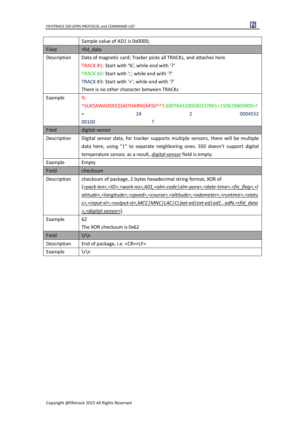|             | Sample value of AD1 is 0x0000;                                                                                                                                  |
|-------------|-----------------------------------------------------------------------------------------------------------------------------------------------------------------|
| Filed       | rfid data                                                                                                                                                       |
| Description | Data of magnetic card; Tracker picks all TRACKs, and attaches here                                                                                              |
|             | TRACK #1: Start with '%', while end with '?'                                                                                                                    |
|             | TRACK #2: Start with ';', while end with '?'                                                                                                                    |
|             | TRACK #3: Start with '+'; while end with '?'                                                                                                                    |
|             | There is no other character between TRACKs                                                                                                                      |
| Example     | %                                                                                                                                                               |
|             | ^SUKSAWADDEE\$SAITHARN\$MISS^^?;6007643100500157891=150619800909=?                                                                                              |
|             | 24<br>$\overline{2}$<br>0004552<br>÷                                                                                                                            |
|             | ?<br>00100                                                                                                                                                      |
| Filed       | digital-sensor                                                                                                                                                  |
| Description | Digital sensor data, for tracker supports multiple sensors, there will be multiple                                                                              |
|             | data here, using " " to separate neighboring ones. S50 doesn't support digital                                                                                  |
|             | temperature sensor, as a result, <i>digital-sensor</i> field is empty.                                                                                          |
| Example     | Empty                                                                                                                                                           |
| Field       | checksum                                                                                                                                                        |
| Description | checksum of package, 2 bytes hexadecimal string format, XOR of                                                                                                  |
|             | { <pack-len>,<ld>,<work-no>,A01,<alm-code alm-para>,<date-time>,<fix_flag>,<l< td=""></l<></fix_flag></date-time></alm-code alm-para></work-no></ld></pack-len> |
|             | atitude>, <longitude>,<speed>,<course>,<altitude>,<odometer>,<runtime>,<statu< td=""></statu<></runtime></odometer></altitude></course></speed></longitude>     |
|             | s>, <input-st>,<output-st>,MCC MNC LAC CI,bat-ad ext-ad ad1adN,<rfid_data< td=""></rfid_data<></output-st></input-st>                                           |
|             | >, <digital-sensor>}.</digital-sensor>                                                                                                                          |
| Example     | 62                                                                                                                                                              |
|             | The XOR checksum is 0x62                                                                                                                                        |
| Field       | $\ln$                                                                                                                                                           |
| Description | End of package, i.e. <cr><lf></lf></cr>                                                                                                                         |
| Example     | $\ln$                                                                                                                                                           |

 $\mathbf{E}$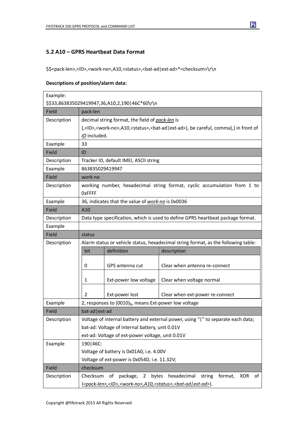### **5.2 A10 – GPRS Heartbeat Data Format**

\$\$<pack-len>,<lD>,<work-no>,A10,<status>,<br/>sbat-ad|ext-ad>\*<checksum>\r\n

#### **Descriptions of position/alarm data:**

| Example:                                         |                                                                                    |                                                                                                                |                                                                                                                           |
|--------------------------------------------------|------------------------------------------------------------------------------------|----------------------------------------------------------------------------------------------------------------|---------------------------------------------------------------------------------------------------------------------------|
| \$\$33,863835029419947,36,A10,2,190   46C*60\r\n |                                                                                    |                                                                                                                |                                                                                                                           |
| Field                                            | pack-len                                                                           |                                                                                                                |                                                                                                                           |
| Description                                      | decimal string format, the field of pack-len is                                    |                                                                                                                |                                                                                                                           |
|                                                  |                                                                                    |                                                                                                                | {, <id>,<work-no>,A10,<status>,<bat-ad ext-ad>}, be careful, comma(,) in front of</bat-ad ext-ad></status></work-no></id> |
|                                                  | ID included.                                                                       |                                                                                                                |                                                                                                                           |
| Example                                          | 33                                                                                 |                                                                                                                |                                                                                                                           |
| Field                                            | ID                                                                                 |                                                                                                                |                                                                                                                           |
| Description                                      |                                                                                    | Tracker ID, default IMEI, ASCII string                                                                         |                                                                                                                           |
| Example                                          | 863835029419947                                                                    |                                                                                                                |                                                                                                                           |
| Field                                            | work-no                                                                            |                                                                                                                |                                                                                                                           |
| Description                                      | working number, hexadecimal string format, cyclic accumulation from 1 to<br>OxFFFF |                                                                                                                |                                                                                                                           |
| Example                                          | 36, indicates that the value of work-no is 0x0036                                  |                                                                                                                |                                                                                                                           |
| Field                                            | A10                                                                                |                                                                                                                |                                                                                                                           |
| Description                                      | Data type specification, which is used to define GPRS heartbeat package format.    |                                                                                                                |                                                                                                                           |
| Example                                          |                                                                                    |                                                                                                                |                                                                                                                           |
| Field                                            | status                                                                             |                                                                                                                |                                                                                                                           |
| Description                                      |                                                                                    |                                                                                                                | Alarm status or vehicle status, hexadecimal string format, as the following table:                                        |
|                                                  | bit                                                                                | definition                                                                                                     | description                                                                                                               |
|                                                  |                                                                                    |                                                                                                                |                                                                                                                           |
|                                                  | 0                                                                                  | GPS antenna cut                                                                                                | Clear when antenna re-connect                                                                                             |
|                                                  | 1                                                                                  | Ext-power low voltage                                                                                          | Clear when voltage normal                                                                                                 |
|                                                  | 2                                                                                  | Ext-power lost                                                                                                 | Clear when ext-power re-connect                                                                                           |
| Example                                          | 2, responses to (0010) <sub>B</sub> , means Ext-power low voltage                  |                                                                                                                |                                                                                                                           |
| Field                                            | bat-ad   ext-ad                                                                    |                                                                                                                |                                                                                                                           |
| Description                                      |                                                                                    |                                                                                                                | Voltage of internal battery and external power, using " " to separate each data;                                          |
|                                                  |                                                                                    | bat-ad: Voltage of internal battery, unit 0.01V                                                                |                                                                                                                           |
|                                                  |                                                                                    | ext-ad: Voltage of ext-power voltage, unit 0.01V                                                               |                                                                                                                           |
| Example                                          | 190   46C:                                                                         |                                                                                                                |                                                                                                                           |
|                                                  |                                                                                    | Voltage of battery is 0x01A0, i.e. 4.00V                                                                       |                                                                                                                           |
|                                                  | Voltage of ext-power is 0x054D, i.e. 11.32V;                                       |                                                                                                                |                                                                                                                           |
| Field                                            | checksum                                                                           |                                                                                                                |                                                                                                                           |
| Description                                      | Checksum                                                                           | of package,                                                                                                    | 2 bytes hexadecimal<br>string<br>format,<br><b>XOR</b><br>of                                                              |
|                                                  |                                                                                    | { <pack-len>,<id>,<work-no>,A10,<status>,<bat-ad ext-ad=""  ="">}.</bat-ad></status></work-no></id></pack-len> |                                                                                                                           |

 $\overline{\mathbf{H}}$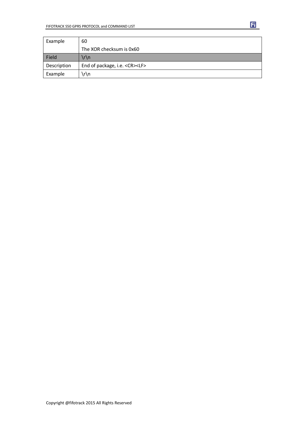| Example     | 60                                      |
|-------------|-----------------------------------------|
|             | The XOR checksum is 0x60                |
| Field       | \r\n                                    |
| Description | End of package, i.e. <cr><lf></lf></cr> |
| Example     | ∖r\n                                    |

団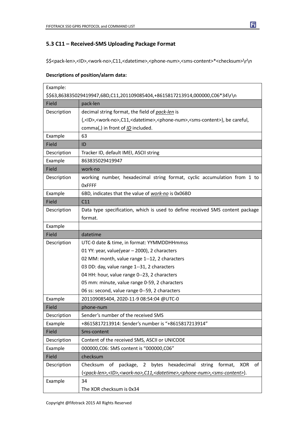### **5.3 C11 – Received-SMS Uploading Package Format**

\$\$<pack-len>,<ID>,<work-no>,C11,<datetime>,<phone-num>,<sms-content>\*<checksum>\r\n

#### **Descriptions of position/alarm data:**

| Example:                                     |                                                                                                                                       |  |
|----------------------------------------------|---------------------------------------------------------------------------------------------------------------------------------------|--|
|                                              | \$\$63,863835029419947,6BD,C11,201109085404,+8615817213914,000000,C06*34\r\n                                                          |  |
| Field                                        | pack-len                                                                                                                              |  |
| Description                                  | decimal string format, the field of pack-len is                                                                                       |  |
|                                              | {, <id>,<work-no>,C11,<datetime>,<phone-num>,<sms-content>}, be careful,</sms-content></phone-num></datetime></work-no></id>          |  |
|                                              | comma(,) in front of ID included.                                                                                                     |  |
| Example                                      | 63                                                                                                                                    |  |
| Field                                        | ID                                                                                                                                    |  |
| Description                                  | Tracker ID, default IMEI, ASCII string                                                                                                |  |
| Example                                      | 863835029419947                                                                                                                       |  |
| Field                                        | work-no                                                                                                                               |  |
| Description                                  | working number, hexadecimal string format, cyclic accumulation from 1 to<br><b>OxFFFF</b>                                             |  |
| Example                                      | 6BD, indicates that the value of work-no is 0x06BD                                                                                    |  |
| Field                                        | C11                                                                                                                                   |  |
| Description                                  | Data type specification, which is used to define received SMS content package                                                         |  |
|                                              | format.                                                                                                                               |  |
| Example                                      |                                                                                                                                       |  |
| Field                                        | datetime                                                                                                                              |  |
| Description                                  | UTC-0 date & time, in format: YYMMDDHHmmss                                                                                            |  |
|                                              | 01 YY: year, value(year - 2000), 2 characters                                                                                         |  |
|                                              | 02 MM: month, value range 1--12, 2 characters                                                                                         |  |
|                                              | 03 DD: day, value range 1--31, 2 characters                                                                                           |  |
| 04 HH: hour, value range 0--23, 2 characters |                                                                                                                                       |  |
|                                              | 05 mm: minute, value range 0-59, 2 characters                                                                                         |  |
|                                              | 06 ss: second, value range 0--59, 2 characters                                                                                        |  |
| Example                                      | 201109085404, 2020-11-9 08:54:04 @UTC-0                                                                                               |  |
| Field                                        | phone-num                                                                                                                             |  |
| Description                                  | Sender's number of the received SMS                                                                                                   |  |
| Example                                      | +8615817213914: Sender's number is "+8615817213914"                                                                                   |  |
| Field                                        | Sms-content                                                                                                                           |  |
| Description                                  | Content of the received SMS, ASCII or UNICODE                                                                                         |  |
| Example                                      | 000000, C06: SMS content is "000000, C06"                                                                                             |  |
| Field                                        | checksum                                                                                                                              |  |
| Description                                  | package, 2 bytes hexadecimal<br>Checksum<br>string<br>of<br>of<br>format,<br>XOR                                                      |  |
|                                              | { <pack-len>,<id>,<work-no>,C11,<datetime>,<phone-num>,<sms-content>}.</sms-content></phone-num></datetime></work-no></id></pack-len> |  |
| Example                                      | 34                                                                                                                                    |  |
|                                              | The XOR checksum is 0x34                                                                                                              |  |

 $\overline{\mathbf{H}}$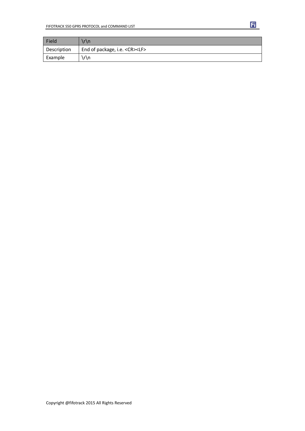| Field       | r\n                                     |
|-------------|-----------------------------------------|
| Description | End of package, i.e. <cr><lf></lf></cr> |
| Example     | r\n،                                    |

団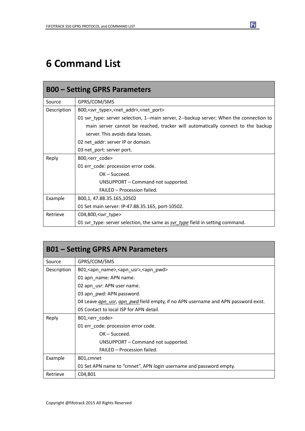# **6 Command List**

|             | <b>B00 - Setting GPRS Parameters</b>                                                    |
|-------------|-----------------------------------------------------------------------------------------|
| Source      | GPRS/COM/SMS                                                                            |
| Description | B00, <svr_type>,<net_addr>,<net_port></net_port></net_addr></svr_type>                  |
|             | 01 svr_type: server selection, 1--main server, 2--backup server; When the connection to |
|             | main server cannot be reached, tracker will automatically connect to the backup         |
|             | server. This avoids data losses.                                                        |
|             | 02 net_addr: server IP or domain.                                                       |
|             | 03 net_port: server port.                                                               |
| Reply       | B00, <err_code></err_code>                                                              |
|             | 01 err_code: procession error code.                                                     |
|             | $OK - Succeed.$                                                                         |
|             | UNSUPPORT – Command not supported.                                                      |
|             | FAILED - Procession failed.                                                             |
| Example     | B00,1, 47.88.35.165,10502                                                               |
|             | 01 Set main server: IP-47.88.35.165, port-10502.                                        |
| Retrieve    | $CO4, B00,$ <svr type=""></svr>                                                         |
|             | 01 svr_type: server selection, the same as svr_type field in setting command.           |

| <b>B01 – Setting GPRS APN Parameters</b> |                                                                                   |
|------------------------------------------|-----------------------------------------------------------------------------------|
| Source                                   | GPRS/COM/SMS                                                                      |
| Description                              | B01, <apn_name>, <apn_usr>, <apn_pwd></apn_pwd></apn_usr></apn_name>              |
|                                          | 01 apn name: APN name.                                                            |
|                                          | 02 apn_usr: APN user name.                                                        |
|                                          | 03 apn_pwd: APN password.                                                         |
|                                          | 04 Leave gpn usr, apn pwd field empty, if no APN username and APN password exist. |
|                                          | 05 Contact to local ISP for APN detail.                                           |
| Reply                                    | B01, <err code=""></err>                                                          |
|                                          | 01 err_code: procession error code.                                               |
|                                          | $OK - Succeed.$                                                                   |
|                                          | UNSUPPORT – Command not supported.                                                |
|                                          | FAILED - Procession failed.                                                       |
| Example                                  | B01, cmnet                                                                        |
|                                          | 01 Set APN name to "cmnet", APN login username and password empty.                |
| Retrieve                                 | C04,B01                                                                           |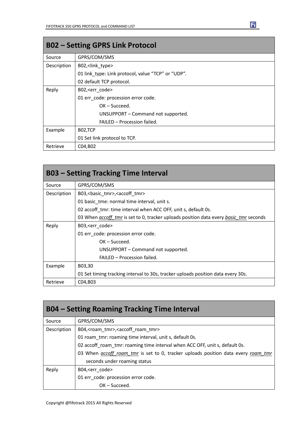| <b>B02 - Setting GPRS Link Protocol</b> |                                                    |
|-----------------------------------------|----------------------------------------------------|
| Source                                  | GPRS/COM/SMS                                       |
| Description                             | B02, <link type=""/>                               |
|                                         | 01 link type: Link protocol, value "TCP" or "UDP". |
|                                         | 02 default TCP protocol.                           |
| Reply                                   | B02, <err code=""></err>                           |
|                                         | 01 err code: procession error code.                |
|                                         | $OK - Succeed.$                                    |
|                                         | UNSUPPORT - Command not supported.                 |
|                                         | FAILED - Procession failed.                        |
| Example                                 | B02,TCP                                            |
|                                         | 01 Set link protocol to TCP.                       |
| Retrieve                                | C04, B02                                           |

| <b>B03 - Setting Tracking Time Interval</b> |                                                                                       |
|---------------------------------------------|---------------------------------------------------------------------------------------|
| Source                                      | GPRS/COM/SMS                                                                          |
| Description                                 | B03,<br>basic_tmr>, <accoff_tmr></accoff_tmr>                                         |
|                                             | 01 basic tme: normal time interval, unit s.                                           |
|                                             | 02 accoff tmr: time interval when ACC OFF, unit s, default 0s.                        |
|                                             | 03 When accoff tmr is set to 0, tracker uploads position data every basic tmr seconds |
| Reply                                       | B03, <err code=""></err>                                                              |
|                                             | 01 err_code: procession error code.                                                   |
|                                             | $OK - Succeed.$                                                                       |
|                                             | UNSUPPORT – Command not supported.                                                    |
|                                             | FAILED - Procession failed.                                                           |
| Example                                     | B03,30                                                                                |
|                                             | 01 Set timing tracking interval to 30s, tracker uploads position data every 30s.      |
| Retrieve                                    | C04, B03                                                                              |

| <b>B04 – Setting Roaming Tracking Time Interval</b> |                                                                                   |
|-----------------------------------------------------|-----------------------------------------------------------------------------------|
| Source                                              | GPRS/COM/SMS                                                                      |
| Description                                         | B04, < roam_tmr>, < accoff_roam_tmr>                                              |
|                                                     | 01 roam tmr: roaming time interval, unit s, default 0s.                           |
|                                                     | 02 accoff_roam_tmr: roaming time interval when ACC OFF, unit s, default 0s.       |
|                                                     | 03 When accoff roam tmr is set to 0, tracker uploads position data every roam tmr |
|                                                     | seconds under roaming status                                                      |
| Reply                                               | B04, <err code=""></err>                                                          |
|                                                     | 01 err_code: procession error code.                                               |
|                                                     | $OK - Succeed.$                                                                   |

┓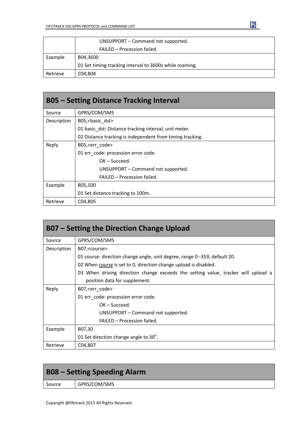|          | UNSUPPORT - Command not supported.                      |
|----------|---------------------------------------------------------|
|          | FAILED - Procession failed.                             |
| Example  | B04,3600                                                |
|          | 01 Set timing tracking interval to 3600s while roaming. |
| Retrieve | C04.B04                                                 |

| <b>B05 - Setting Distance Tracking Interval</b> |                                                           |
|-------------------------------------------------|-----------------------------------------------------------|
| Source                                          | GPRS/COM/SMS                                              |
| Description                                     | B05, < basic dst>                                         |
|                                                 | 01 basic dst: Distance tracking interval, unit meter.     |
|                                                 | 02 Distance tracking is independent from timing tracking. |
| Reply                                           | B05, <err code=""></err>                                  |
|                                                 | 01 err_code: procession error code.                       |
|                                                 | $OK - Succeed.$                                           |
|                                                 | UNSUPPORT - Command not supported.                        |
|                                                 | FAILED - Procession failed.                               |
| Example                                         | B05,100                                                   |
|                                                 | 01 Set distance tracking to 100m.                         |
| Retrieve                                        | C04, B05                                                  |

| <b>B07 – Setting the Direction Change Upload</b> |                                                                                   |
|--------------------------------------------------|-----------------------------------------------------------------------------------|
| Source                                           | GPRS/COM/SMS                                                                      |
| Description                                      | B07, < course                                                                     |
|                                                  | 01 course: direction change angle, unit degree, range 0--359, default 20.         |
|                                                  | 02 When <i>course</i> is set to 0, direction change upload is disabled.           |
|                                                  | 03 When driving direction change exceeds the setting value, tracker will upload a |
|                                                  | position data for supplement.                                                     |
| Reply                                            | B07, < err code >                                                                 |
|                                                  | 01 err code: procession error code.                                               |
|                                                  | $OK - Succeed.$                                                                   |
|                                                  | UNSUPPORT – Command not supported.                                                |
|                                                  | FAILED - Procession failed.                                                       |
| Example                                          | B07,30                                                                            |
|                                                  | 01 Set direction change angle to $30^\circ$ .                                     |
| Retrieve                                         | C04, B07                                                                          |

| <b>B08 – Setting Speeding Alarm</b> |              |
|-------------------------------------|--------------|
| Source                              | GPRS/COM/SMS |
|                                     |              |

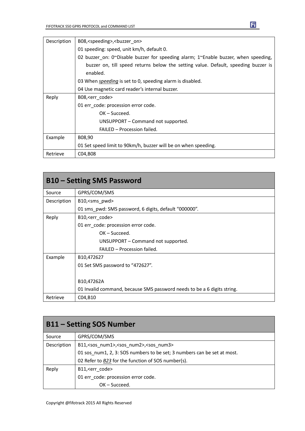| Description | B08, <speeding>, <br/>sbuzzer<br/>on&gt;</speeding>                                  |
|-------------|--------------------------------------------------------------------------------------|
|             | 01 speeding: speed, unit km/h, default 0.                                            |
|             | 02 buzzer on: 0~Disable buzzer for speeding alarm; $1$ enable buzzer, when speeding, |
|             | buzzer on, till speed returns below the setting value. Default, speeding buzzer is   |
|             | enabled.                                                                             |
|             | 03 When <i>speeding</i> is set to 0, speeding alarm is disabled.                     |
|             | 04 Use magnetic card reader's internal buzzer.                                       |
| Reply       | B08, < err code >                                                                    |
|             | 01 err code: procession error code.                                                  |
|             | $OK - Succeed.$                                                                      |
|             | UNSUPPORT - Command not supported.                                                   |
|             | FAILED - Procession failed.                                                          |
| Example     | B08,90                                                                               |
|             | 01 Set speed limit to 90km/h, buzzer will be on when speeding.                       |
| Retrieve    | C04, B08                                                                             |

| <b>B10 – Setting SMS Password</b> |                                                                         |
|-----------------------------------|-------------------------------------------------------------------------|
| Source                            | GPRS/COM/SMS                                                            |
| Description                       | B10, <sms pwd=""></sms>                                                 |
|                                   | 01 sms pwd: SMS password, 6 digits, default "000000".                   |
| Reply                             | B10, <err code=""></err>                                                |
|                                   | 01 err_code: procession error code.                                     |
|                                   | $OK - Succeed.$                                                         |
|                                   | UNSUPPORT – Command not supported.                                      |
|                                   | FAILED - Procession failed.                                             |
| Example                           | B10,472627                                                              |
|                                   | 01 Set SMS password to "472627".                                        |
|                                   |                                                                         |
|                                   | B10,47262A                                                              |
|                                   | 01 Invalid command, because SMS password needs to be a 6 digits string. |
| Retrieve                          | C04, B10                                                                |

| <b>B11 – Setting SOS Number</b> |                                                                         |
|---------------------------------|-------------------------------------------------------------------------|
| Source                          | GPRS/COM/SMS                                                            |
| Description                     | B11, <sos num1="">,<sos num2="">,<sos num3=""></sos></sos></sos>        |
|                                 | 01 sos num1, 2, 3: SOS numbers to be set; 3 numbers can be set at most. |
|                                 | 02 Refer to B23 for the function of SOS number(s).                      |
| Reply                           | B11, <err code=""></err>                                                |
|                                 | 01 err code: procession error code.                                     |
|                                 | $OK - Succeed.$                                                         |

 $\mathbf{E}$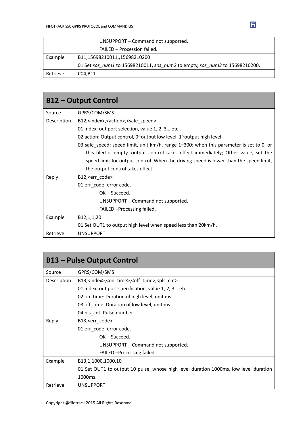|          | UNSUPPORT – Command not supported.                                          |
|----------|-----------------------------------------------------------------------------|
|          | FAILED - Procession failed.                                                 |
| Example  | B11,15698210011,,15698210200                                                |
|          | 01 Set sos num1 to 15698210011, sos num2 to empty, sos num3 to 15698210200. |
| Retrieve | C04, B11                                                                    |

| <b>B12 – Output Control</b> |                                                                                         |
|-----------------------------|-----------------------------------------------------------------------------------------|
| Source                      | GPRS/COM/SMS                                                                            |
| Description                 | B12, <index>,<action>,<safe_speed></safe_speed></action></index>                        |
|                             | 01 index: out port selection, value 1, 2, 3 etc                                         |
|                             | 02 action: Output control, 0~output low level, 1~output high level.                     |
|                             | 03 safe_speed: speed limit, unit km/h, range 1~300; when this parameter is set to 0, or |
|                             | this filed is empty, output control takes effect immediately; Other value, set the      |
|                             | speed limit for output control. When the driving speed is lower than the speed limit,   |
|                             | the output control takes effect.                                                        |
| Reply                       | B12, <err_code></err_code>                                                              |
|                             | 01 err code: error code.                                                                |
|                             | $OK - Succeed.$                                                                         |
|                             | UNSUPPORT – Command not supported.                                                      |
|                             | FAILED - Processing failed.                                                             |
| Example                     | B <sub>12</sub> , 1, 1, 20                                                              |
|                             | 01 Set OUT1 to output high level when speed less than 20km/h.                           |
| Retrieve                    | <b>UNSUPPORT</b>                                                                        |

| <b>B13 - Pulse Output Control</b> |                                                                                      |
|-----------------------------------|--------------------------------------------------------------------------------------|
| Source                            | GPRS/COM/SMS                                                                         |
| Description                       | B13, <index>,<on_time>,<off_time>,<pls_cnt></pls_cnt></off_time></on_time></index>   |
|                                   | 01 index: out port specification, value 1, 2, 3 etc                                  |
|                                   | 02 on_time: Duration of high level, unit ms.                                         |
|                                   | 03 off time: Duration of low level, unit ms.                                         |
|                                   | 04 pls_cnt: Pulse number.                                                            |
| Reply                             | B13, <err code=""></err>                                                             |
|                                   | 01 err_code: error code.                                                             |
|                                   | $OK - Succeed.$                                                                      |
|                                   | UNSUPPORT – Command not supported.                                                   |
|                                   | FAILED - Processing failed.                                                          |
| Example                           | B13,1,1000,1000,10                                                                   |
|                                   | 01 Set OUT1 to output 10 pulse, whose high level duration 1000ms, low level duration |
|                                   | 1000ms.                                                                              |
| Retrieve                          | <b>UNSUPPORT</b>                                                                     |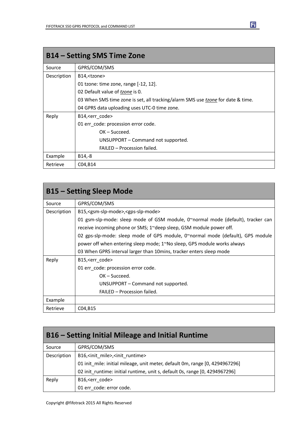| B14 – Setting SMS Time Zone |                                                                                 |
|-----------------------------|---------------------------------------------------------------------------------|
| Source                      | GPRS/COM/SMS                                                                    |
| Description                 | B14, <tzone></tzone>                                                            |
|                             | 01 tzone: time zone, range [-12, 12].                                           |
|                             | 02 Default value of tzone is 0.                                                 |
|                             | 03 When SMS time zone is set, all tracking/alarm SMS use tzone for date & time. |
|                             | 04 GPRS data uploading uses UTC-0 time zone.                                    |
| Reply                       | B14, <err code=""></err>                                                        |
|                             | 01 err_code: procession error code.                                             |
|                             | $OK - Succeed.$                                                                 |
|                             | UNSUPPORT – Command not supported.                                              |
|                             | FAILED - Procession failed.                                                     |
| Example                     | B14,-8                                                                          |
| Retrieve                    | C04, B14                                                                        |

| <b>B15 - Setting Sleep Mode</b> |                                                                                          |
|---------------------------------|------------------------------------------------------------------------------------------|
| Source                          | GPRS/COM/SMS                                                                             |
| Description                     | B15, <gsm-slp-mode>,<gps-slp-mode></gps-slp-mode></gsm-slp-mode>                         |
|                                 | 01 gsm-slp-mode: sleep mode of GSM module, 0 $\gamma$ normal mode (default), tracker can |
|                                 | receive incoming phone or SMS; 1~deep sleep, GSM module power off.                       |
|                                 | 02 gps-slp-mode: sleep mode of GPS module, $02$ normal mode (default), GPS module        |
|                                 | power off when entering sleep mode; $1^{\sim}$ No sleep, GPS module works always         |
|                                 | 03 When GPRS interval larger than 10 mins, tracker enters sleep mode                     |
| Reply                           | B15, <err_code></err_code>                                                               |
|                                 | 01 err_code: procession error code.                                                      |
|                                 | $OK - Succeed.$                                                                          |
|                                 | UNSUPPORT - Command not supported.                                                       |
|                                 | FAILED - Procession failed.                                                              |
| Example                         |                                                                                          |
| Retrieve                        | C04, B15                                                                                 |

| B16 – Setting Initial Mileage and Initial Runtime |                                                                              |
|---------------------------------------------------|------------------------------------------------------------------------------|
| Source                                            | GPRS/COM/SMS                                                                 |
| Description                                       | B16, <init mile="">,<init runtime=""></init></init>                          |
|                                                   | 01 init_mile: initial mileage, unit meter, default 0m, range [0, 4294967296] |
|                                                   | 02 init_runtime: initial runtime, unit s, default 0s, range [0, 4294967296]  |
| Reply                                             | B16, <err code=""></err>                                                     |
|                                                   | 01 err code: error code.                                                     |

 $\mathbf{E}$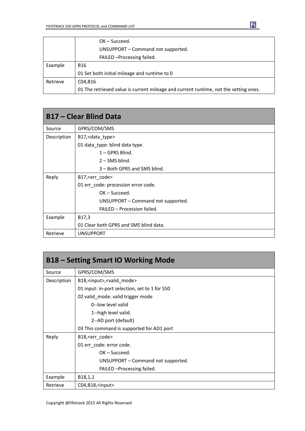|          | $OK - Succeed.$                                                                      |
|----------|--------------------------------------------------------------------------------------|
|          | UNSUPPORT - Command not supported.                                                   |
|          | FAILED - Processing failed.                                                          |
| Example  | <b>B16</b>                                                                           |
|          | 01 Set both initial mileage and runtime to 0                                         |
| Retrieve | C04.B16                                                                              |
|          | 01 The retrieved value is current mileage and current runtime, not the setting ones. |

| <b>B17 – Clear Blind Data</b> |                                        |
|-------------------------------|----------------------------------------|
| Source                        | GPRS/COM/SMS                           |
| Description                   | B17, < data_type>                      |
|                               | 01 data_type: blind data type.         |
|                               | $1 - GPRS$ Blind.                      |
|                               | $2 -$ SMS blind.                       |
|                               | 3 – Both GPRS and SMS blind.           |
| Reply                         | B17, <err code=""></err>               |
|                               | 01 err_code: procession error code.    |
|                               | $OK - Succeed.$                        |
|                               | UNSUPPORT – Command not supported.     |
|                               | FAILED - Procession failed.            |
| Example                       | B17,3                                  |
|                               | 01 Clear both GPRS and SMS blind data. |
| Retrieve                      | <b>UNSUPPORT</b>                       |

| <b>B18 - Setting Smart IO Working Mode</b> |                                               |
|--------------------------------------------|-----------------------------------------------|
| Source                                     | GPRS/COM/SMS                                  |
| Description                                | B18, <input/> , <valid_mode></valid_mode>     |
|                                            | 01 input: in-port selection, set to 1 for S50 |
|                                            | 02 valid_mode: valid trigger mode             |
|                                            | 0--low level valid                            |
|                                            | 1--high level valid.                          |
|                                            | 2--AD port (default)                          |
|                                            | 03 This command is supported for AD1 port     |
| Reply                                      | B18, <err_code></err_code>                    |
|                                            | 01 err_code: error code.                      |
|                                            | $OK - Succeed.$                               |
|                                            | UNSUPPORT – Command not supported.            |
|                                            | FAILED - Processing failed.                   |
| Example                                    | B18,1,1                                       |
| Retrieve                                   | C04, B18, <input/>                            |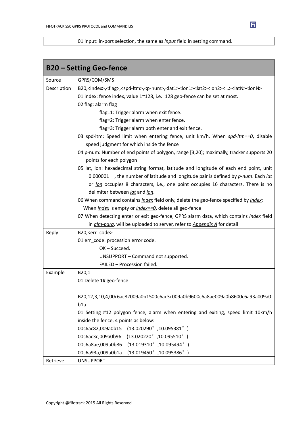01 input: in-port selection, the same as *input* field in setting command.

|             | <b>B20 - Setting Geo-fence</b>                                                                                                                                |
|-------------|---------------------------------------------------------------------------------------------------------------------------------------------------------------|
| Source      | GPRS/COM/SMS                                                                                                                                                  |
| Description | B20, <index>,<flag>,<spd-ltm>,<p-num>,<lat1><lon1><lat2><lon2>&lt;&gt;<latn><lonn></lonn></latn></lon2></lat2></lon1></lat1></p-num></spd-ltm></flag></index> |
|             | 01 index: fence index, value 1~128, i.e.: 128 geo-fence can be set at most.                                                                                   |
|             | 02 flag: alarm flag                                                                                                                                           |
|             | flag=1: Trigger alarm when exit fence.                                                                                                                        |
|             | flag=2: Trigger alarm when enter fence.                                                                                                                       |
|             | flag=3: Trigger alarm both enter and exit fence.                                                                                                              |
|             | 03 spd-ltm: Speed limit when entering fence, unit km/h. When spd-ltm==0, disable                                                                              |
|             | speed judgment for which inside the fence                                                                                                                     |
|             | 04 p-num: Number of end points of polygon, range [3,20]; maximally, tracker supports 20                                                                       |
|             | points for each polygon                                                                                                                                       |
|             | 05 lat, lon: hexadecimal string format, latitude and longitude of each end point, unit                                                                        |
|             | 0.000001°, the number of latitude and longitude pair is defined by p-num. Each lat                                                                            |
|             | or lon occupies 8 characters, i.e., one point occupies 16 characters. There is no                                                                             |
|             | delimiter between lat and lon.                                                                                                                                |
|             | 06 When command contains index field only, delete the geo-fence specified by index;                                                                           |
|             | When <i>index</i> is empty or <i>index==0</i> , delete all geo-fence                                                                                          |
|             | 07 When detecting enter or exit geo-fence, GPRS alarm data, which contains <i>index</i> field                                                                 |
|             | in <i>alm-para</i> , will be uploaded to server, refer to <i>Appendix A</i> for detail                                                                        |
| Reply       | B20, <err_code></err_code>                                                                                                                                    |
|             | 01 err_code: procession error code.                                                                                                                           |
|             | $OK - Succeed.$                                                                                                                                               |
|             | UNSUPPORT - Command not supported.                                                                                                                            |
|             | FAILED - Procession failed.                                                                                                                                   |
| Example     | B20,1                                                                                                                                                         |
|             | 01 Delete 1# geo-fence                                                                                                                                        |
|             |                                                                                                                                                               |
|             | B20,12,3,10,4,00c6ac82009a0b1500c6ac3c009a0b9600c6a8ae009a0b8600c6a93a009a0                                                                                   |
|             | b1a                                                                                                                                                           |
|             | 01 Setting #12 polygon fence, alarm when entering and exiting, speed limit 10km/h                                                                             |
|             | inside the fence, 4 points as below:                                                                                                                          |
|             | 00c6ac82,009a0b15<br>$(13.020290^{\circ}, 10.095381^{\circ})$                                                                                                 |
|             | $(13.020220^{\circ}, 10.095510^{\circ})$<br>00c6ac3c,009a0b96                                                                                                 |
|             | $(13.019310^{\circ}, 10.095494^{\circ})$<br>00c6a8ae,009a0b86                                                                                                 |
|             | $(13.019450^{\circ}, 10.095386^{\circ})$<br>00c6a93a,009a0b1a                                                                                                 |
| Retrieve    | <b>UNSUPPORT</b>                                                                                                                                              |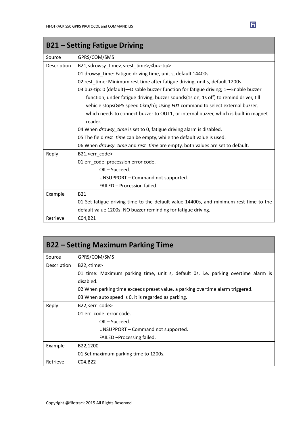| <b>B21 - Setting Fatigue Driving</b> |                                                                                            |
|--------------------------------------|--------------------------------------------------------------------------------------------|
| Source                               | GPRS/COM/SMS                                                                               |
| Description                          | B21, <drowsy_time>,<rest_time>,<br/><br/>cbuz-tip&gt;</rest_time></drowsy_time>            |
|                                      | 01 drowsy time: Fatigue driving time, unit s, default 14400s.                              |
|                                      | 02 rest_time: Minimum rest time after fatigue driving, unit s, default 1200s.              |
|                                      | 03 buz-tip: 0 (default) - Disable buzzer function for fatigue driving; 1-Enable buzzer     |
|                                      | function, under fatigue driving, buzzer sounds(1s on, 1s off) to remind driver, till       |
|                                      | vehicle stops(GPS speed 0km/h); Using FO1 command to select external buzzer,               |
|                                      | which needs to connect buzzer to OUT1, or internal buzzer, which is built in magnet        |
|                                      | reader.                                                                                    |
|                                      | 04 When <i>drowsy time</i> is set to 0, fatigue driving alarm is disabled.                 |
|                                      | 05 The field rest time can be empty, while the default value is used.                      |
|                                      | 06 When <i>drowsy_time</i> and <i>rest_time</i> are empty, both values are set to default. |
| Reply                                | B21, <err_code></err_code>                                                                 |
|                                      | 01 err_code: procession error code.                                                        |
|                                      | $OK - Succeed.$                                                                            |
|                                      | UNSUPPORT - Command not supported.                                                         |
|                                      | FAILED - Procession failed.                                                                |
| Example                              | <b>B21</b>                                                                                 |
|                                      | 01 Set fatigue driving time to the default value 14400s, and minimum rest time to the      |
|                                      | default value 1200s, NO buzzer reminding for fatigue driving.                              |
| Retrieve                             | C04, B21                                                                                   |

| <b>B22 – Setting Maximum Parking Time</b> |                                                                                   |
|-------------------------------------------|-----------------------------------------------------------------------------------|
| Source                                    | GPRS/COM/SMS                                                                      |
| Description                               | B22, <time></time>                                                                |
|                                           | 01 time: Maximum parking time, unit s, default 0s, i.e. parking overtime alarm is |
|                                           | disabled.                                                                         |
|                                           | 02 When parking time exceeds preset value, a parking overtime alarm triggered.    |
|                                           | 03 When auto speed is 0, it is regarded as parking.                               |
| Reply                                     | B22, <err code=""></err>                                                          |
|                                           | 01 err code: error code.                                                          |
|                                           | $OK - Succeed.$                                                                   |
|                                           | UNSUPPORT – Command not supported.                                                |
|                                           | FAILED - Processing failed.                                                       |
| Example                                   | B22,1200                                                                          |
|                                           | 01 Set maximum parking time to 1200s.                                             |
| Retrieve                                  | C04, B22                                                                          |

Ei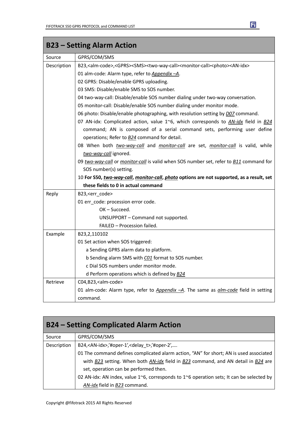|             | <b>B23 - Setting Alarm Action</b>                                                                                                             |
|-------------|-----------------------------------------------------------------------------------------------------------------------------------------------|
| Source      | GPRS/COM/SMS                                                                                                                                  |
| Description | B23, <alm-code>,<gprs><sms><two-way-call><monitor-call><photo><an-idx></an-idx></photo></monitor-call></two-way-call></sms></gprs></alm-code> |
|             | 01 alm-code: Alarm type, refer to Appendix -A.                                                                                                |
|             | 02 GPRS: Disable/enable GPRS uploading.                                                                                                       |
|             | 03 SMS: Disable/enable SMS to SOS number.                                                                                                     |
|             | 04 two-way-call: Disable/enable SOS number dialing under two-way conversation.                                                                |
|             | 05 monitor-call: Disable/enable SOS number dialing under monitor mode.                                                                        |
|             | 06 photo: Disable/enable photographing, with resolution setting by <i>D07</i> command.                                                        |
|             | 07 AN-idx: Complicated action, value 1~6, which corresponds to AN-idx field in B24                                                            |
|             | command; AN is composed of a serial command sets, performing user define                                                                      |
|             | operations; Refer to <b>B24</b> command for detail.                                                                                           |
|             | 08 When both two-way-call and monitor-call are set, monitor-call is valid, while                                                              |
|             | two-way-call ignored.                                                                                                                         |
|             | 09 two-way-call or monitor-call is valid when SOS number set, refer to <b>B11</b> command for                                                 |
|             | SOS number(s) setting.                                                                                                                        |
|             | 10 For S50, two-way-call, monitor-call, photo options are not supported, as a result, set                                                     |
|             | these fields to 0 in actual command                                                                                                           |
| Reply       | B23, <err_code></err_code>                                                                                                                    |
|             | 01 err_code: procession error code.                                                                                                           |
|             | OK-Succeed.                                                                                                                                   |
|             | UNSUPPORT - Command not supported.                                                                                                            |
|             | FAILED - Procession failed.                                                                                                                   |
| Example     | B23,2,110102                                                                                                                                  |
|             | 01 Set action when SOS triggered:                                                                                                             |
|             | a Sending GPRS alarm data to platform.                                                                                                        |
|             | b Sending alarm SMS with CO1 format to SOS number.                                                                                            |
|             | c Dial SOS numbers under monitor mode.                                                                                                        |
|             | d Perform operations which is defined by <b>B24</b>                                                                                           |
| Retrieve    | C04,B23, <alm-code></alm-code>                                                                                                                |
|             | 01 alm-code: Alarm type, refer to Appendix -A. The same as <i>alm-code</i> field in setting                                                   |
|             | command.                                                                                                                                      |

| <b>B24 – Setting Complicated Alarm Action</b> |                                                                                          |  |  |  |
|-----------------------------------------------|------------------------------------------------------------------------------------------|--|--|--|
| Source                                        | GPRS/COM/SMS                                                                             |  |  |  |
| Description                                   | B24, <an-idx>,'#oper-1',<delay_t>,'#oper-2',</delay_t></an-idx>                          |  |  |  |
|                                               | 01 The command defines complicated alarm action, "AN" for short; AN is used associated   |  |  |  |
|                                               | with B23 setting. When both AN-idx field in B23 command, and AN detail in B24 are        |  |  |  |
|                                               | set, operation can be performed then.                                                    |  |  |  |
|                                               | 02 AN-idx: AN index, value 1~6, corresponds to 1~6 operation sets; It can be selected by |  |  |  |
|                                               | AN-idx field in B23 command.                                                             |  |  |  |

┓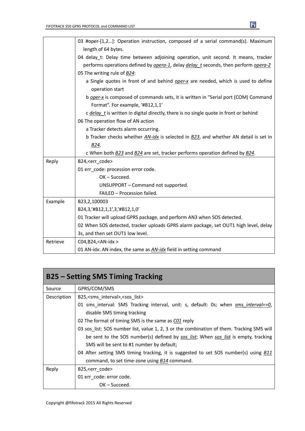|          | 03 #oper-[1,2]: Operation instruction, composed of a serial command(s). Maximum                                        |  |  |  |  |  |
|----------|------------------------------------------------------------------------------------------------------------------------|--|--|--|--|--|
|          | length of 64 bytes.                                                                                                    |  |  |  |  |  |
|          | 04 delay_t: Delay time between adjoining operation, unit second. It means, tracker                                     |  |  |  |  |  |
|          | performs operations defined by opera-1, delay delay t seconds, then perform opera-2                                    |  |  |  |  |  |
|          | 05 The writing rule of B24:                                                                                            |  |  |  |  |  |
|          | a Single quotes in front of and behind oper-x are needed, which is used to define                                      |  |  |  |  |  |
|          | operation start                                                                                                        |  |  |  |  |  |
|          | b oper-x is composed of commands sets, it is written in "Serial port (COM) Command<br>Format". For example, '#B12,1,1' |  |  |  |  |  |
|          | c delay t is written in digital directly, there is no single quote in front or behind                                  |  |  |  |  |  |
|          | 06 The operation flow of AN action                                                                                     |  |  |  |  |  |
|          | a Tracker detects alarm occurring.                                                                                     |  |  |  |  |  |
|          | b Tracker checks whether AN-idx is selected in B23, and whether AN detail is set in                                    |  |  |  |  |  |
|          | B24.                                                                                                                   |  |  |  |  |  |
|          | c When both B23 and B24 are set, tracker performs operation defined by B24.                                            |  |  |  |  |  |
| Reply    | B24, <err code=""></err>                                                                                               |  |  |  |  |  |
|          | 01 err code: procession error code.                                                                                    |  |  |  |  |  |
|          | OK-Succeed.                                                                                                            |  |  |  |  |  |
|          | UNSUPPORT - Command not supported.                                                                                     |  |  |  |  |  |
|          | FAILED - Procession failed.                                                                                            |  |  |  |  |  |
| Example  | B23,2,100003                                                                                                           |  |  |  |  |  |
|          | B24,3,'#B12,1,1',3,'#B12,1,0'                                                                                          |  |  |  |  |  |
|          | 01 Tracker will upload GPRS package, and perform AN3 when SOS detected.                                                |  |  |  |  |  |
|          | 02 When SOS detected, tracker uploads GPRS alarm package, set OUT1 high level, delay                                   |  |  |  |  |  |
|          | 3s, and then set OUT1 low level.                                                                                       |  |  |  |  |  |
| Retrieve | $CO4, B24, < AN-idx$                                                                                                   |  |  |  |  |  |
|          | 01 AN-idx: AN index, the same as <b>AN-idx</b> field in setting command                                                |  |  |  |  |  |

| <b>B25 – Setting SMS Timing Tracking</b> |                                                                                           |  |  |  |  |  |
|------------------------------------------|-------------------------------------------------------------------------------------------|--|--|--|--|--|
| Source                                   | GPRS/COM/SMS                                                                              |  |  |  |  |  |
| Description                              | B25, <sms interval="">, <sos list=""></sos></sms>                                         |  |  |  |  |  |
|                                          | 01 sms_interval: SMS Tracking interval, unit: s, default: 0s; when sms_interval==0,       |  |  |  |  |  |
|                                          | disable SMS timing tracking                                                               |  |  |  |  |  |
|                                          | 02 The format of timing SMS is the same as CO1 reply                                      |  |  |  |  |  |
|                                          | 03 sos_list: SOS number list, value 1, 2, 3 or the combination of them. Tracking SMS will |  |  |  |  |  |
|                                          | be sent to the SOS number(s) defined by sos list; When sos list is empty, tracking        |  |  |  |  |  |
|                                          | SMS will be sent to #1 number by default;                                                 |  |  |  |  |  |
|                                          | 04 After setting SMS timing tracking, it is suggested to set SOS number(s) using B11      |  |  |  |  |  |
|                                          | command, to set time-zone using <b>B14</b> command.                                       |  |  |  |  |  |
| Reply                                    | B25, <err_code></err_code>                                                                |  |  |  |  |  |
|                                          | 01 err code: error code.                                                                  |  |  |  |  |  |
|                                          | OK – Succeed.                                                                             |  |  |  |  |  |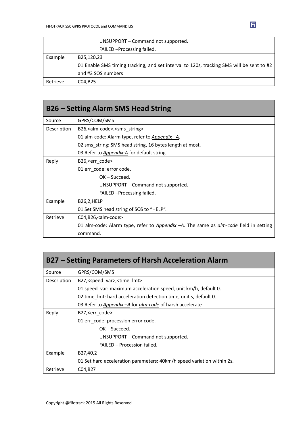|          | UNSUPPORT – Command not supported.                                                       |  |  |  |  |  |
|----------|------------------------------------------------------------------------------------------|--|--|--|--|--|
|          | FAILED - Processing failed.                                                              |  |  |  |  |  |
| Example  | B25,120,23                                                                               |  |  |  |  |  |
|          | 01 Enable SMS timing tracking, and set interval to 120s, tracking SMS will be sent to #2 |  |  |  |  |  |
|          | and #3 SOS numbers                                                                       |  |  |  |  |  |
| Retrieve | C04.B25                                                                                  |  |  |  |  |  |

| <b>B26 – Setting Alarm SMS Head String</b> |                                                                                             |  |  |  |  |  |
|--------------------------------------------|---------------------------------------------------------------------------------------------|--|--|--|--|--|
| Source                                     | GPRS/COM/SMS                                                                                |  |  |  |  |  |
| Description                                | B26, <alm-code>,<sms_string></sms_string></alm-code>                                        |  |  |  |  |  |
|                                            | 01 alm-code: Alarm type, refer to Appendix -A.                                              |  |  |  |  |  |
|                                            | 02 sms string: SMS head string, 16 bytes length at most.                                    |  |  |  |  |  |
|                                            | 03 Refer to Appendix-A for default string.                                                  |  |  |  |  |  |
| Reply                                      | B26, < err code >                                                                           |  |  |  |  |  |
|                                            | 01 err code: error code.                                                                    |  |  |  |  |  |
|                                            | $OK - Succeed.$                                                                             |  |  |  |  |  |
|                                            | UNSUPPORT – Command not supported.                                                          |  |  |  |  |  |
|                                            | FAILED - Processing failed.                                                                 |  |  |  |  |  |
| Example                                    | B26,2,HELP                                                                                  |  |  |  |  |  |
|                                            | 01 Set SMS head string of SOS to "HELP".                                                    |  |  |  |  |  |
| Retrieve                                   | $CO4, B26,$ calm-code>                                                                      |  |  |  |  |  |
|                                            | 01 alm-code: Alarm type, refer to Appendix -A. The same as <i>alm-code</i> field in setting |  |  |  |  |  |
|                                            | command.                                                                                    |  |  |  |  |  |

| B27 – Setting Parameters of Harsh Acceleration Alarm |                                                                        |  |  |  |  |  |
|------------------------------------------------------|------------------------------------------------------------------------|--|--|--|--|--|
| Source                                               | GPRS/COM/SMS                                                           |  |  |  |  |  |
| Description                                          | B27, <speed var="">, <time lmt=""></time></speed>                      |  |  |  |  |  |
|                                                      | 01 speed var: maximum acceleration speed, unit km/h, default 0.        |  |  |  |  |  |
|                                                      | 02 time Imt: hard acceleration detection time, unit s, default 0.      |  |  |  |  |  |
|                                                      | 03 Refer to Appendix - A for alm-code of harsh accelerate              |  |  |  |  |  |
| Reply                                                | B27, < err code >                                                      |  |  |  |  |  |
|                                                      | 01 err code: procession error code.                                    |  |  |  |  |  |
|                                                      | $OK - Succeed.$                                                        |  |  |  |  |  |
|                                                      | UNSUPPORT – Command not supported.                                     |  |  |  |  |  |
|                                                      | FAILED - Procession failed.                                            |  |  |  |  |  |
| Example                                              | B27,40,2                                                               |  |  |  |  |  |
|                                                      | 01 Set hard acceleration parameters: 40km/h speed variation within 2s. |  |  |  |  |  |
| Retrieve                                             | C04, B27                                                               |  |  |  |  |  |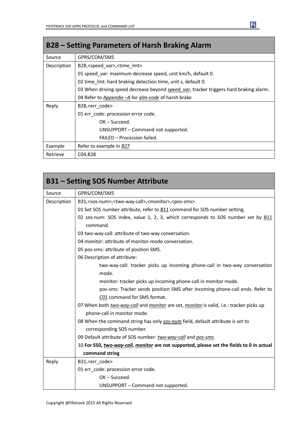| B28 – Setting Parameters of Harsh Braking Alarm |                                                                                       |  |  |  |  |  |
|-------------------------------------------------|---------------------------------------------------------------------------------------|--|--|--|--|--|
| Source                                          | GPRS/COM/SMS                                                                          |  |  |  |  |  |
| Description                                     | B28, <speed_var>, <time_lmt></time_lmt></speed_var>                                   |  |  |  |  |  |
|                                                 | 01 speed var: maximum decrease speed, unit km/h, default 0.                           |  |  |  |  |  |
|                                                 | 02 time Imt: hard braking detection time, unit s, default 0.                          |  |  |  |  |  |
|                                                 | 03 When driving speed decrease beyond speed var, tracker triggers hard braking alarm. |  |  |  |  |  |
|                                                 | 04 Refer to <i>Appendix - A</i> for <i>alm-code</i> of harsh brake                    |  |  |  |  |  |
| Reply                                           | B28, <err code=""></err>                                                              |  |  |  |  |  |
|                                                 | 01 err code: procession error code.                                                   |  |  |  |  |  |
|                                                 | $OK - Succeed.$                                                                       |  |  |  |  |  |
|                                                 | UNSUPPORT – Command not supported.                                                    |  |  |  |  |  |
|                                                 | FAILED - Procession failed.                                                           |  |  |  |  |  |
| Example                                         | Refer to example in B27                                                               |  |  |  |  |  |
| Retrieve                                        | C04, B <sub>28</sub>                                                                  |  |  |  |  |  |

|             | <b>B31 - Setting SOS Number Attribute</b>                                                           |  |  |  |  |  |
|-------------|-----------------------------------------------------------------------------------------------------|--|--|--|--|--|
| Source      | GPRS/COM/SMS                                                                                        |  |  |  |  |  |
| Description | B31, <sos-num>,<two-way-call>,<monitor>,<pos-sms></pos-sms></monitor></two-way-call></sos-num>      |  |  |  |  |  |
|             | 01 Set SOS number attribute, refer to <b>B11</b> command for SOS number setting.                    |  |  |  |  |  |
|             | 02 sos-num: SOS index, value 1, 2, 3, which corresponds to SOS number set by <b>B11</b><br>command. |  |  |  |  |  |
|             | 03 two-way-call: attribute of two-way conversation.                                                 |  |  |  |  |  |
|             | 04 monitor: attribute of monitor-mode conversation.                                                 |  |  |  |  |  |
|             | 05 pos-sms: attribute of position SMS.                                                              |  |  |  |  |  |
|             | 06 Description of attribute:                                                                        |  |  |  |  |  |
|             | two-way-call: tracker picks up incoming phone-call in two-way conversation                          |  |  |  |  |  |
|             | mode.                                                                                               |  |  |  |  |  |
|             | monitor: tracker picks up incoming phone-call in monitor mode.                                      |  |  |  |  |  |
|             | pos-sms: Tracker sends position SMS after incoming phone-call ends. Refer to                        |  |  |  |  |  |
|             | C01 command for SMS format.                                                                         |  |  |  |  |  |
|             | 07 When both two-way-call and monitor are set, monitor is valid, i.e.: tracker picks up             |  |  |  |  |  |
|             | phone-call in monitor mode.                                                                         |  |  |  |  |  |
|             | 08 When the command string has only sos-num field, default attribute is set to                      |  |  |  |  |  |
|             | corresponding SOS number.                                                                           |  |  |  |  |  |
|             | 09 Default attribute of SOS number: two-way-call and pos-sms.                                       |  |  |  |  |  |
|             | 10 For S50, two-way-call, monitor are not supported, please set the fields to 0 in actual           |  |  |  |  |  |
|             | command string                                                                                      |  |  |  |  |  |
| Reply       | B31, <err code=""></err>                                                                            |  |  |  |  |  |
|             | 01 err_code: procession error code.                                                                 |  |  |  |  |  |
|             | OK-Succeed.                                                                                         |  |  |  |  |  |
|             | UNSUPPORT - Command not supported.                                                                  |  |  |  |  |  |

┓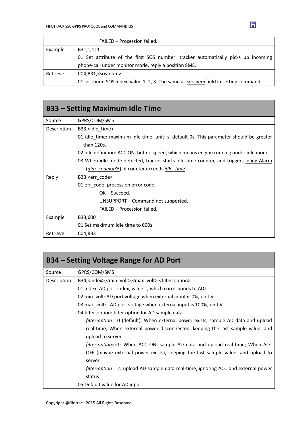|          | FAILED - Procession failed.                                                         |  |  |  |
|----------|-------------------------------------------------------------------------------------|--|--|--|
| Example  | B31,1,111                                                                           |  |  |  |
|          | 01 Set attribute of the first SOS number: tracker automatically picks up incoming   |  |  |  |
|          | phone-call under monitor mode, reply a position SMS.                                |  |  |  |
| Retrieve | $CO4, B31, <$ sos-num $>$                                                           |  |  |  |
|          | 01 sos-num: SOS index, value 1, 2, 3. The same as sos-num field in setting command. |  |  |  |

| <b>B33 – Setting Maximum Idle Time</b> |                                                                                                      |  |  |  |  |  |
|----------------------------------------|------------------------------------------------------------------------------------------------------|--|--|--|--|--|
| Source                                 | GPRS/COM/SMS                                                                                         |  |  |  |  |  |
| Description                            | B33, sidle time                                                                                      |  |  |  |  |  |
|                                        | 01 idle time: maximum idle time, unit: s, default 0s. This parameter should be greater<br>than 120s. |  |  |  |  |  |
|                                        | 02 idle definition: ACC ON, but no speed, which means engine running under idle mode.                |  |  |  |  |  |
|                                        | 03 When idle mode detected, tracker starts idle time counter, and triggers <i>Idling Alarm</i>       |  |  |  |  |  |
|                                        | (alm code==35), if counter exceeds idle time                                                         |  |  |  |  |  |
| Reply                                  | B33, <err code=""></err>                                                                             |  |  |  |  |  |
|                                        | 01 err code: procession error code.                                                                  |  |  |  |  |  |
|                                        | $OK - Succeed.$                                                                                      |  |  |  |  |  |
|                                        | UNSUPPORT – Command not supported.                                                                   |  |  |  |  |  |
|                                        | FAILED - Procession failed.                                                                          |  |  |  |  |  |
| Example                                | B33,600                                                                                              |  |  |  |  |  |
|                                        | 01 Set maximum idle time to 600s                                                                     |  |  |  |  |  |
| Retrieve                               | C04, B33                                                                                             |  |  |  |  |  |

| B34 – Setting Voltage Range for AD Port |                                                                                                  |  |  |  |  |  |  |
|-----------------------------------------|--------------------------------------------------------------------------------------------------|--|--|--|--|--|--|
| Source                                  | GPRS/COM/SMS                                                                                     |  |  |  |  |  |  |
| Description                             | B34, <index>,<min_volt>,<max_volt>,<filter-option></filter-option></max_volt></min_volt></index> |  |  |  |  |  |  |
|                                         | 01 index: AD port index, value 1, which corresponds to AD1                                       |  |  |  |  |  |  |
|                                         | 02 min volt: AD port voltage when external input is 0%, unit V                                   |  |  |  |  |  |  |
|                                         | 03 max_volt: AD port voltage when external input is 100%, unit V                                 |  |  |  |  |  |  |
|                                         | 04 filter-option: filter option for AD sample data                                               |  |  |  |  |  |  |
|                                         | filter-option==0 (default): When external power exists, sample AD data and upload                |  |  |  |  |  |  |
|                                         | real-time; When external power disconnected, keeping the last sample value, and                  |  |  |  |  |  |  |
|                                         | upload to server                                                                                 |  |  |  |  |  |  |
|                                         | <i>filter-option==1</i> : When ACC ON, sample AD data and upload real-time; When ACC             |  |  |  |  |  |  |
|                                         | OFF (maybe external power exists), keeping the last sample value, and upload to                  |  |  |  |  |  |  |
|                                         | server                                                                                           |  |  |  |  |  |  |
|                                         | filter-option==2: upload AD sample data real-time, ignoring ACC and external power               |  |  |  |  |  |  |
|                                         | status                                                                                           |  |  |  |  |  |  |
|                                         | 05 Default value for AD input                                                                    |  |  |  |  |  |  |

 $\mathbf{E}$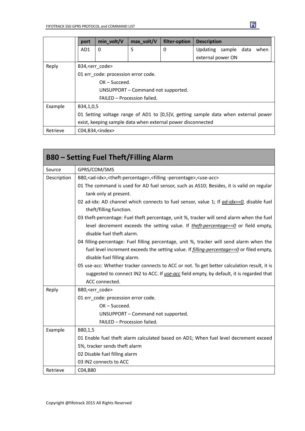|          | port                                                                               | min_volt/V | max_volt/V | filter-option | <b>Description</b>           |  |  |
|----------|------------------------------------------------------------------------------------|------------|------------|---------------|------------------------------|--|--|
|          | AD1                                                                                | $\Omega$   | 5          | 0             | Updating sample data<br>when |  |  |
|          |                                                                                    |            |            |               | external power ON            |  |  |
| Reply    | B34, <err code=""></err>                                                           |            |            |               |                              |  |  |
|          | 01 err code: procession error code.                                                |            |            |               |                              |  |  |
|          | $OK - Succeed.$                                                                    |            |            |               |                              |  |  |
|          | UNSUPPORT - Command not supported.                                                 |            |            |               |                              |  |  |
|          | FAILED - Procession failed.                                                        |            |            |               |                              |  |  |
| Example  | B34,1,0,5                                                                          |            |            |               |                              |  |  |
|          | 01 Setting voltage range of AD1 to [0,5]V, getting sample data when external power |            |            |               |                              |  |  |
|          | exist, keeping sample data when external power disconnected                        |            |            |               |                              |  |  |
| Retrieve | $CO4, B34, \text{sindex}$                                                          |            |            |               |                              |  |  |

|             | <b>B80 – Setting Fuel Theft/Filling Alarm</b>                                                                               |
|-------------|-----------------------------------------------------------------------------------------------------------------------------|
| Source      | GPRS/COM/SMS                                                                                                                |
| Description | B80, <ad-idx>,<theft-percentage>,<filling-percentage>,<use-acc></use-acc></filling-percentage></theft-percentage></ad-idx>  |
|             | 01 The command is used for AD fuel sensor, such as AS10; Besides, it is valid on regular                                    |
|             | tank only at present.                                                                                                       |
|             | 02 ad-idx: AD channel which connects to fuel sensor, value 1; If <i>ad-idx==0</i> , disable fuel<br>theft/filling function. |
|             | 03 theft-percentage: Fuel theft percentage, unit %, tracker will send alarm when the fuel                                   |
|             | level decrement exceeds the setting value. If theft-percentage== $0$ or field empty,<br>disable fuel theft alarm.           |
|             | 04 filling-percentage: Fuel filling percentage, unit %, tracker will send alarm when the                                    |
|             | fuel level increment exceeds the setting value. If <i>filling-percentage==0</i> or filed empty,                             |
|             | disable fuel filling alarm.                                                                                                 |
|             | 05 use-acc: Whether tracker connects to ACC or not. To get better calculation result, it is                                 |
|             | suggested to connect IN2 to ACC. If use-acc field empty, by default, it is regarded that                                    |
|             | ACC connected.                                                                                                              |
| Reply       | B80, <err_code></err_code>                                                                                                  |
|             | 01 err code: procession error code.                                                                                         |
|             | $OK - Succeed.$                                                                                                             |
|             | UNSUPPORT - Command not supported.                                                                                          |
|             | FAILED - Procession failed.                                                                                                 |
| Example     | B80,1,5                                                                                                                     |
|             | 01 Enable fuel theft alarm calculated based on AD1; When fuel level decrement exceed                                        |
|             | 5%, tracker sends theft alarm                                                                                               |
|             | 02 Disable fuel filling alarm                                                                                               |
|             | 03 IN2 connects to ACC                                                                                                      |
| Retrieve    | C04,B80                                                                                                                     |

 $\mathbf{E}$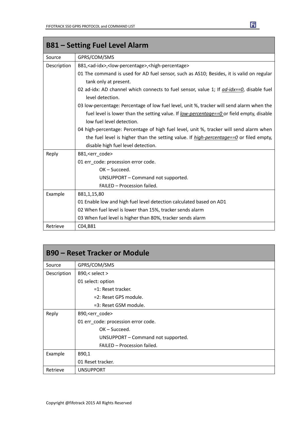| <b>B81 – Setting Fuel Level Alarm</b> |                                                                                                                   |  |
|---------------------------------------|-------------------------------------------------------------------------------------------------------------------|--|
| Source                                | GPRS/COM/SMS                                                                                                      |  |
| Description                           | B81, <ad-idx>,<low-percentage>,<high-percentage></high-percentage></low-percentage></ad-idx>                      |  |
|                                       | 01 The command is used for AD fuel sensor, such as AS10; Besides, it is valid on regular<br>tank only at present. |  |
|                                       | 02 ad-idx: AD channel which connects to fuel sensor, value 1; If ad-idx==0, disable fuel<br>level detection.      |  |
|                                       | 03 low-percentage: Percentage of low fuel level, unit %, tracker will send alarm when the                         |  |
|                                       | fuel level is lower than the setting value. If <u>low-percentage==0</u> or field empty, disable                   |  |
|                                       | low fuel level detection.                                                                                         |  |
|                                       | 04 high-percentage: Percentage of high fuel level, unit %, tracker will send alarm when                           |  |
|                                       | the fuel level is higher than the setting value. If $high\text{-}percentage==0$ or filed empty,                   |  |
|                                       | disable high fuel level detection.                                                                                |  |
| Reply                                 | B81, <err code=""></err>                                                                                          |  |
|                                       | 01 err_code: procession error code.                                                                               |  |
|                                       | $OK - Succeed.$                                                                                                   |  |
|                                       | UNSUPPORT - Command not supported.                                                                                |  |
|                                       | FAILED - Procession failed.                                                                                       |  |
| Example                               | B81,1,15,80                                                                                                       |  |
|                                       | 01 Enable low and high fuel level detection calculated based on AD1                                               |  |
|                                       | 02 When fuel level is lower than 15%, tracker sends alarm                                                         |  |
|                                       | 03 When fuel level is higher than 80%, tracker sends alarm                                                        |  |
| Retrieve                              | C04,B81                                                                                                           |  |

| <b>B90 – Reset Tracker or Module</b> |                                     |
|--------------------------------------|-------------------------------------|
| Source                               | GPRS/COM/SMS                        |
| Description                          | $B90$ , $\le$ select $>$            |
|                                      | 01 select: option                   |
|                                      | $=1$ : Reset tracker.               |
|                                      | =2: Reset GPS module.               |
|                                      | =3: Reset GSM module.               |
| Reply                                | B90, <err_code></err_code>          |
|                                      | 01 err_code: procession error code. |
|                                      | $OK - Succeed.$                     |
|                                      | UNSUPPORT - Command not supported.  |
|                                      | FAILED - Procession failed.         |
| Example                              | B90,1                               |
|                                      | 01 Reset tracker.                   |
| Retrieve                             | <b>UNSUPPORT</b>                    |

 $\mathbf{F}$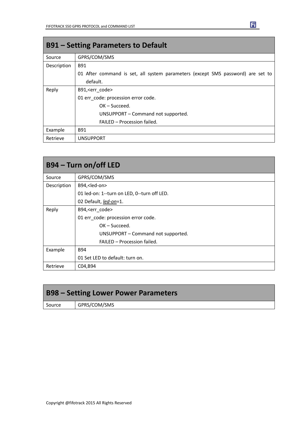| <b>B91 – Setting Parameters to Default</b> |                                                                                 |  |
|--------------------------------------------|---------------------------------------------------------------------------------|--|
| Source                                     | GPRS/COM/SMS                                                                    |  |
| Description                                | <b>B91</b>                                                                      |  |
|                                            | 01 After command is set, all system parameters (except SMS password) are set to |  |
|                                            | default.                                                                        |  |
| Reply                                      | B91, <err code=""></err>                                                        |  |
|                                            | 01 err_code: procession error code.                                             |  |
|                                            | $OK - Succeed.$                                                                 |  |
|                                            | UNSUPPORT – Command not supported.                                              |  |
|                                            | FAILED - Procession failed.                                                     |  |
| Example                                    | <b>B91</b>                                                                      |  |
| Retrieve                                   | <b>UNSUPPORT</b>                                                                |  |

| B94 – Turn on/off LED |                                             |  |
|-----------------------|---------------------------------------------|--|
| Source                | GPRS/COM/SMS                                |  |
| Description           | B94, <led-on></led-on>                      |  |
|                       | 01 led-on: 1--turn on LED, 0--turn off LED. |  |
|                       | 02 Default, led-on=1.                       |  |
| Reply                 | B94, <err code=""></err>                    |  |
|                       | 01 err_code: procession error code.         |  |
|                       | $OK - Succeed.$                             |  |
|                       | UNSUPPORT - Command not supported.          |  |
|                       | FAILED - Procession failed.                 |  |
| Example               | <b>B94</b>                                  |  |
|                       | 01 Set LED to default: turn on.             |  |
| Retrieve              | C04, B94                                    |  |

| <b>B98 – Setting Lower Power Parameters</b> |              |
|---------------------------------------------|--------------|
| Source                                      | GPRS/COM/SMS |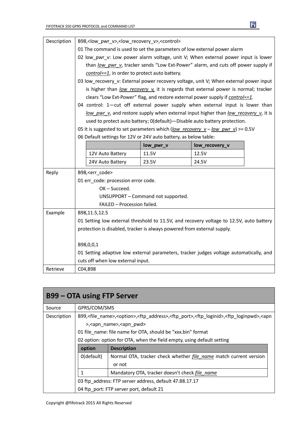| Description | B98, <low_pwr_v>,<low_recovery_v>,<control></control></low_recovery_v></low_pwr_v>      |                                    |                                                                                        |  |
|-------------|-----------------------------------------------------------------------------------------|------------------------------------|----------------------------------------------------------------------------------------|--|
|             | 01 The command is used to set the parameters of low external power alarm                |                                    |                                                                                        |  |
|             | 02 low pwr v: Low power alarm voltage, unit V; When external power input is lower       |                                    |                                                                                        |  |
|             | than low pwr v, tracker sends "Low Ext-Power" alarm, and cuts off power supply if       |                                    |                                                                                        |  |
|             | control==1, in order to protect auto battery.                                           |                                    |                                                                                        |  |
|             | 03 low recovery v: External power recovery voltage, unit V; When external power input   |                                    |                                                                                        |  |
|             |                                                                                         |                                    | is higher than low recovery v it is regards that external power is normal; tracker     |  |
|             |                                                                                         |                                    | clears "Low Ext-Power" flag, and restore external power supply if control==1.          |  |
|             |                                                                                         |                                    | 04 control: 1-cut off external power supply when external input is lower than          |  |
|             |                                                                                         |                                    | low pwr v, and restore supply when external input higher than low recovery v, it is    |  |
|             |                                                                                         |                                    | used to protect auto battery; 0(default)-Disable auto battery protection.              |  |
|             |                                                                                         |                                    | 05 It is suggested to set parameters which (low recovery $v - low$ pwr v) >= 0.5V      |  |
|             | 06 Default settings for 12V or 24V auto battery, as below table:                        |                                    |                                                                                        |  |
|             |                                                                                         | low_pwr_v                          | low_recovery_v                                                                         |  |
|             | 12V Auto Battery                                                                        | 11.5V                              | 12.5V                                                                                  |  |
|             | 24V Auto Battery                                                                        | 23.5V                              | 24.5V                                                                                  |  |
| Reply       | B98, <err code=""></err>                                                                |                                    |                                                                                        |  |
|             | 01 err_code: procession error code.                                                     |                                    |                                                                                        |  |
|             | OK-Succeed.                                                                             |                                    |                                                                                        |  |
|             |                                                                                         | UNSUPPORT - Command not supported. |                                                                                        |  |
|             | FAILED - Procession failed.                                                             |                                    |                                                                                        |  |
| Example     | B98,11.5,12.5                                                                           |                                    |                                                                                        |  |
|             | 01 Setting low external threshold to 11.5V, and recovery voltage to 12.5V, auto battery |                                    |                                                                                        |  |
|             | protection is disabled, tracker is always powered from external supply.                 |                                    |                                                                                        |  |
|             |                                                                                         |                                    |                                                                                        |  |
|             | B98,0,0,1                                                                               |                                    |                                                                                        |  |
|             |                                                                                         |                                    | 01 Setting adaptive low external parameters, tracker judges voltage automatically, and |  |
|             | cuts off when low external input.                                                       |                                    |                                                                                        |  |
| Retrieve    | C04,B98                                                                                 |                                    |                                                                                        |  |

| <b>B99 – OTA using FTP Server</b> |                                                                                                                                                                                |                                                                          |
|-----------------------------------|--------------------------------------------------------------------------------------------------------------------------------------------------------------------------------|--------------------------------------------------------------------------|
| Source                            | GPRS/COM/SMS                                                                                                                                                                   |                                                                          |
| Description                       | B99, <file_name>,<option>,<ftp_address>,<ftp_port>,<ftp_loginid>,<ftp_loginpwd>,<apn< td=""></apn<></ftp_loginpwd></ftp_loginid></ftp_port></ftp_address></option></file_name> |                                                                          |
|                                   | >, <apn name="">,<apn pwd=""></apn></apn>                                                                                                                                      |                                                                          |
|                                   | 01 file name: file name for OTA, should be "xxx.bin" format                                                                                                                    |                                                                          |
|                                   | 02 option: option for OTA, when the field empty, using default setting                                                                                                         |                                                                          |
|                                   | option                                                                                                                                                                         | <b>Description</b>                                                       |
|                                   | 0(default)                                                                                                                                                                     | Normal OTA, tracker check whether <i>file name</i> match current version |
|                                   |                                                                                                                                                                                | or not                                                                   |
|                                   |                                                                                                                                                                                | Mandatory OTA, tracker doesn't check file name                           |
|                                   |                                                                                                                                                                                | 03 ftp_address: FTP server address, default 47.88.17.17                  |
|                                   |                                                                                                                                                                                | 04 ftp port: FTP server port, default 21                                 |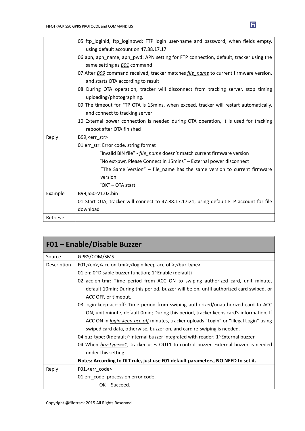|          | 05 ftp loginid, ftp loginpwd: FTP login user-name and password, when fields empty,                  |
|----------|-----------------------------------------------------------------------------------------------------|
|          | using default account on 47.88.17.17                                                                |
|          | 06 apn, apn name, apn pwd: APN setting for FTP connection, default, tracker using the               |
|          | same setting as B01 command                                                                         |
|          | 07 After <b>B99</b> command received, tracker matches <i>file name</i> to current firmware version, |
|          | and starts OTA according to result                                                                  |
|          | 08 During OTA operation, tracker will disconnect from tracking server, stop timing                  |
|          | uploading/photographing.                                                                            |
|          | 09 The timeout for FTP OTA is 15mins, when exceed, tracker will restart automatically,              |
|          | and connect to tracking server                                                                      |
|          | 10 External power connection is needed during OTA operation, it is used for tracking                |
|          | reboot after OTA finished                                                                           |
| Reply    | B99, < err str>                                                                                     |
|          | 01 err str: Error code, string format                                                               |
|          | "Invalid BIN file" - <i>file name</i> doesn't match current firmware version                        |
|          | "No ext-pwr, Please Connect in 15mins" - External power disconnect                                  |
|          | "The Same Version" – file_name has the same version to current firmware                             |
|          | version                                                                                             |
|          | "OK" - OTA start                                                                                    |
| Example  | B99,S50-V1.02.bin                                                                                   |
|          | 01 Start OTA, tracker will connect to 47.88.17.17:21, using default FTP account for file            |
|          | download                                                                                            |
| Retrieve |                                                                                                     |
|          |                                                                                                     |

| F01 - Enable/Disable Buzzer |                                                                                                                           |  |
|-----------------------------|---------------------------------------------------------------------------------------------------------------------------|--|
| Source                      | GPRS/COM/SMS                                                                                                              |  |
| Description                 | F01, <en>, <acc-on-tmr>, <login-keep-acc-off>, <br/> <br/> <br/> <br/>huz-type&gt;</login-keep-acc-off></acc-on-tmr></en> |  |
|                             | 01 en: 0~Disable buzzer function; 1~Enable (default)                                                                      |  |
|                             | 02 acc-on-tmr: Time period from ACC ON to swiping authorized card, unit minute,                                           |  |
|                             | default 10min; During this period, buzzer will be on, until authorized card swiped, or                                    |  |
|                             | ACC OFF, or timeout.                                                                                                      |  |
|                             | 03 login-keep-acc-off: Time period from swiping authorized/unauthorized card to ACC                                       |  |
|                             | ON, unit minute, default Omin; During this period, tracker keeps card's information; If                                   |  |
|                             | ACC ON in <i>login-keep-acc-off</i> minutes, tracker uploads "Login" or "Illegal Login" using                             |  |
|                             | swiped card data, otherwise, buzzer on, and card re-swiping is needed.                                                    |  |
|                             | 04 buz-type: 0(default)~Internal buzzer integrated with reader; 1~External buzzer                                         |  |
|                             | 04 When buz-type==1, tracker uses OUT1 to control buzzer. External buzzer is needed                                       |  |
|                             | under this setting.                                                                                                       |  |
|                             | Notes: According to DLT rule, just use F01 default parameters, NO NEED to set it.                                         |  |
| Reply                       | F01, <err_code></err_code>                                                                                                |  |
|                             | 01 err_code: procession error code.                                                                                       |  |
|                             | $OK - Succeed.$                                                                                                           |  |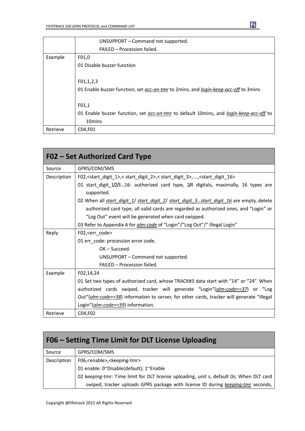|          | UNSUPPORT - Command not supported.                                                     |
|----------|----------------------------------------------------------------------------------------|
|          | FAILED - Procession failed.                                                            |
| Example  | F01,0                                                                                  |
|          | 01 Disable buzzer function                                                             |
|          |                                                                                        |
|          | F01, 1, 2, 3                                                                           |
|          | 01 Enable buzzer function, set acc-on-tmr to 2mins, and login-keep-acc-off to 3mins    |
|          |                                                                                        |
|          | F01,1                                                                                  |
|          | 01 Enable buzzer function, set acc-on-tmr to default 10mins, and login-keep-acc-off to |
|          | 10 <sub>mins</sub>                                                                     |
| Retrieve | C04,F01                                                                                |

| F02 – Set Authorized Card Type |                                                                                                                                         |  |
|--------------------------------|-----------------------------------------------------------------------------------------------------------------------------------------|--|
| Source                         | GPRS/COM/SMS                                                                                                                            |  |
| Description                    | F02, <start_digit_1>,<start_digit_2>,<start_digit_3>,,<start_digit_16></start_digit_16></start_digit_3></start_digit_2></start_digit_1> |  |
|                                | 01 start_digit_1/2/316: authorized card type, 2/4 digitals, maximally, 16 types are                                                     |  |
|                                | supported.                                                                                                                              |  |
|                                | 02 When all <i>start digit 1/ start digit 2/ start digit 3start digit 16</i> are empty, delete                                          |  |
|                                | authorized card type, all valid cards are regarded as authorized ones, and "Login" or                                                   |  |
|                                | "Log Out" event will be generated when card swipped.                                                                                    |  |
|                                | 03 Refer to Appendix A for <i>alm-code</i> of "Login"/"Log Out"/" Illegal Login"                                                        |  |
| Reply                          | F02, <err code=""></err>                                                                                                                |  |
|                                | 01 err_code: procession error code.                                                                                                     |  |
|                                | $OK - Succeed.$                                                                                                                         |  |
|                                | UNSUPPORT - Command not supported.                                                                                                      |  |
|                                | FAILED - Procession failed.                                                                                                             |  |
| Example                        | F02,14,24                                                                                                                               |  |
|                                | 01 Set two types of authorized card, whose TRACK#3 data start with "14" or "24". When                                                   |  |
|                                | authorized cards swiped, tracker will generate "Login"(alm-code==37) or "Log                                                            |  |
|                                | Out"( <i>alm-code==38</i> ) information to server, for other cards, tracker will generate "Illegal                                      |  |
|                                | Login" (alm-code==39) information.                                                                                                      |  |
| Retrieve                       | C04, F02                                                                                                                                |  |

| F06 – Setting Time Limit for DLT License Uploading |                                                                                         |
|----------------------------------------------------|-----------------------------------------------------------------------------------------|
| Source                                             | GPRS/COM/SMS                                                                            |
| Description                                        | F06, <enable>,<keeping-tmr></keeping-tmr></enable>                                      |
|                                                    | 01 enable: 0~Disable(default); 1~Enable                                                 |
|                                                    | 02 keeping-tmr: Time limit for DLT license uploading, unit s, default 0s; When DLT card |
|                                                    | swiped, tracker uploads GPRS package with license ID during keeping-tmr seconds,        |

Copyright @fifotrack 2015 All Rights Reserved

 $\mathbf{E}$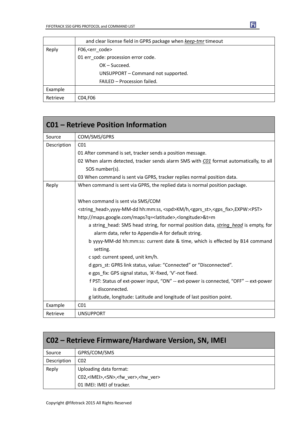|          | and clear license field in GPRS package when keep-tmr timeout |
|----------|---------------------------------------------------------------|
| Reply    | F06, <err code=""></err>                                      |
|          | 01 err_code: procession error code.                           |
|          | $OK - Succeed.$                                               |
|          | UNSUPPORT - Command not supported.                            |
|          | FAILED - Procession failed.                                   |
| Example  |                                                               |
| Retrieve | C04, F06                                                      |

|             | <b>C01 - Retrieve Position Information</b>                                                                                                 |
|-------------|--------------------------------------------------------------------------------------------------------------------------------------------|
| Source      | COM/SMS/GPRS                                                                                                                               |
| Description | CO <sub>1</sub>                                                                                                                            |
|             | 01 After command is set, tracker sends a position message.                                                                                 |
|             | 02 When alarm detected, tracker sends alarm SMS with C01 format automatically, to all                                                      |
|             | SOS number(s).                                                                                                                             |
|             | 03 When command is sent via GPRS, tracker replies normal position data.                                                                    |
| Reply       | When command is sent via GPRS, the replied data is normal position package.                                                                |
|             | When command is sent via SMS/COM                                                                                                           |
|             | <string_head>,yyyy-MM-dd hh:mm:ss, <spd>KM/h,<gprs_st>,<gps_fix>,EXPW:<pst></pst></gps_fix></gprs_st></spd></string_head>                  |
|             | http://maps.google.com/maps?q= <latitude>,<longitude>&amp;t=m</longitude></latitude>                                                       |
|             | a string head: SMS head string, for normal position data, string head is empty, for<br>alarm data, refer to Appendix-A for default string. |
|             | b yyyy-MM-dd hh:mm:ss: current date & time, which is effected by B14 command<br>setting.                                                   |
|             | c spd: current speed, unit km/h.                                                                                                           |
|             | d gprs_st: GPRS link status, value: "Connected" or "Disconnected".                                                                         |
|             | e gps_fix: GPS signal status, 'A'-fixed, 'V'-not fixed.                                                                                    |
|             | f PST: Status of ext-power input, "ON" -- ext-power is connected, "OFF" -- ext-power                                                       |
|             | is disconnected.                                                                                                                           |
|             | g latitude, longitude: Latitude and longitude of last position point.                                                                      |
| Example     | CO <sub>1</sub>                                                                                                                            |
| Retrieve    | <b>UNSUPPORT</b>                                                                                                                           |

| CO2 – Retrieve Firmware/Hardware Version, SN, IMEI |                                                                |
|----------------------------------------------------|----------------------------------------------------------------|
| Source                                             | GPRS/COM/SMS                                                   |
| Description                                        | CO <sub>2</sub>                                                |
| Reply                                              | Uploading data format:                                         |
|                                                    | C02, <imei>,<sn>,<fw ver="">,<hw ver=""></hw></fw></sn></imei> |
|                                                    | 01 IMEI: IMEI of tracker.                                      |

Copyright @fifotrack 2015 All Rights Reserved

 $\mathbf{E}$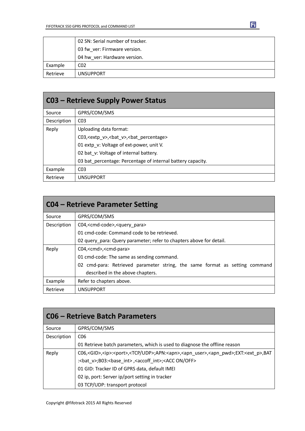|          | 02 SN: Serial number of tracker. |
|----------|----------------------------------|
|          | 03 fw ver: Firmware version.     |
|          | 04 hw ver: Hardware version.     |
| Example  | CO <sub>2</sub>                  |
| Retrieve | <b>UNSUPPORT</b>                 |

団

| <b>C03 - Retrieve Supply Power Status</b> |                                                                  |
|-------------------------------------------|------------------------------------------------------------------|
| Source                                    | GPRS/COM/SMS                                                     |
| Description                               | CO <sub>3</sub>                                                  |
| Reply                                     | Uploading data format:                                           |
|                                           | C03, <extp v="">, <br/>bat v&gt;, <br/>bat percentage&gt;</extp> |
|                                           | 01 extp_v: Voltage of ext-power, unit V.                         |
|                                           | 02 bat v: Voltage of internal battery.                           |
|                                           | 03 bat percentage: Percentage of internal battery capacity.      |
| Example                                   | CO <sub>3</sub>                                                  |
| Retrieve                                  | <b>UNSUPPORT</b>                                                 |

| <b>CO4 – Retrieve Parameter Setting</b> |                                                                             |
|-----------------------------------------|-----------------------------------------------------------------------------|
| Source                                  | GPRS/COM/SMS                                                                |
| Description                             | C04, <cmd-code>,<query para=""></query></cmd-code>                          |
|                                         | 01 cmd-code: Command code to be retrieved.                                  |
|                                         | 02 query_para: Query parameter; refer to chapters above for detail.         |
| Reply                                   | C04, <cmd>,<cmd-para></cmd-para></cmd>                                      |
|                                         | 01 cmd-code: The same as sending command.                                   |
|                                         | 02 cmd-para: Retrieved parameter string, the same format as setting command |
|                                         | described in the above chapters.                                            |
| Example                                 | Refer to chapters above.                                                    |
| Retrieve                                | <b>UNSUPPORT</b>                                                            |

| <b>CO6 - Retrieve Batch Parameters</b> |                                                                                                                                               |
|----------------------------------------|-----------------------------------------------------------------------------------------------------------------------------------------------|
| Source                                 | GPRS/COM/SMS                                                                                                                                  |
| Description                            | C <sub>06</sub>                                                                                                                               |
|                                        | 01 Retrieve batch parameters, which is used to diagnose the offline reason                                                                    |
| Reply                                  | C06, <gid>,<ip>:<port>,<tcp udp="">;APN:<apn>,<apn_user>,<apn_pwd>;EXT:<ext_p>,BAT</ext_p></apn_pwd></apn_user></apn></tcp></port></ip></gid> |
|                                        | : <bat v="">;B03:<base int=""/>,<accoff int="">;<acc off="" on=""></acc></accoff></bat>                                                       |
|                                        | 01 GID: Tracker ID of GPRS data, default IMEI                                                                                                 |
|                                        | 02 ip, port: Server ip/port setting in tracker                                                                                                |
|                                        | 03 TCP/UDP: transport protocol                                                                                                                |

Copyright @fifotrack 2015 All Rights Reserved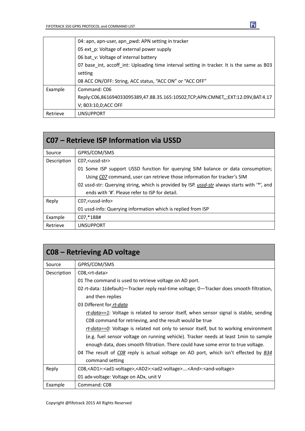|          | 04: apn, apn-user, apn_pwd: APN setting in tracker                                         |
|----------|--------------------------------------------------------------------------------------------|
|          | 05 ext_p: Voltage of external power supply                                                 |
|          | 06 bat v: Voltage of internal battery                                                      |
|          | 07 base int, accoff int: Uploading time interval setting in tracker. It is the same as B03 |
|          | setting                                                                                    |
|          | 08 ACC ON/OFF: String, ACC status, "ACC ON" or "ACC OFF"                                   |
| Example  | Command: C06                                                                               |
|          | Reply:C06,861694033095389,47.88.35.165:10502,TCP;APN:CMNET,,;EXT:12.09V,BAT:4.17           |
|          | V; B03:10,0; ACC OFF                                                                       |
| Retrieve | <b>UNSUPPORT</b>                                                                           |

| C07 – Retrieve ISP Information via USSD |                                                                                              |
|-----------------------------------------|----------------------------------------------------------------------------------------------|
| Source                                  | GPRS/COM/SMS                                                                                 |
| Description                             | C07, <ussd-str></ussd-str>                                                                   |
|                                         | 01 Some ISP support USSD function for querying SIM balance or data consumption;              |
|                                         | Using C07 command, user can retrieve those information for tracker's SIM                     |
|                                         | 02 ussd-str: Querying string, which is provided by ISP. ussd-str always starts with "*', and |
|                                         | ends with '#'. Please refer to ISP for detail.                                               |
| Reply                                   | C07, <ussd-info></ussd-info>                                                                 |
|                                         | 01 ussd-info: Querying information which is replied from ISP                                 |
| Example                                 | C07,*188#                                                                                    |
| Retrieve                                | <b>UNSUPPORT</b>                                                                             |

| C08 – Retrieving AD voltage |                                                                                                                             |
|-----------------------------|-----------------------------------------------------------------------------------------------------------------------------|
| Source                      | GPRS/COM/SMS                                                                                                                |
| Description                 | C08, <rt-data></rt-data>                                                                                                    |
|                             | 01 The command is used to retrieve voltage on AD port.                                                                      |
|                             | 02 rt-data: 1(default) - Tracker reply real-time voltage; 0 - Tracker does smooth filtration,                               |
|                             | and then replies                                                                                                            |
|                             | 03 Different for rt-data                                                                                                    |
|                             | $rt\text{-}data == 1$ : Voltage is related to sensor itself, when sensor signal is stable, sending                          |
|                             | C08 command for retrieving, and the result would be true                                                                    |
|                             | rt-data==0: Voltage is related not only to sensor itself, but to working environment                                        |
|                             | (e.g. fuel sensor voltage on running vehicle). Tracker needs at least 1min to sample                                        |
|                             | enough data, does smooth filtration. There could have some error to true voltage.                                           |
|                             | 04 The result of CO8 reply is actual voltage on AD port, which isn't effected by <b>B34</b>                                 |
|                             | command setting                                                                                                             |
| Reply                       | C08, <ad1>:<ad1-voltage>,<ad2>:<ad2-voltage><and>:<and-voltage></and-voltage></and></ad2-voltage></ad2></ad1-voltage></ad1> |
|                             | 01 adx-voltage: Voltage on ADx, unit V                                                                                      |
| Example                     | Command: C08                                                                                                                |

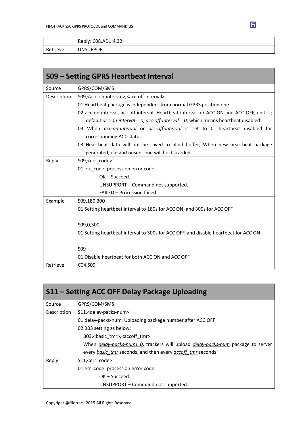|          | Reply: C08, AD1: 4.32 |
|----------|-----------------------|
| Retrieve | <b>UNSUPPORT</b>      |

| S09 – Setting GPRS Heartbeat Interval |                                                                                               |  |  |  |
|---------------------------------------|-----------------------------------------------------------------------------------------------|--|--|--|
| Source                                | GPRS/COM/SMS                                                                                  |  |  |  |
| Description                           | S09, <acc-on-interval>, <acc-off-interval></acc-off-interval></acc-on-interval>               |  |  |  |
|                                       | 01 Heartbeat package is independent from normal GPRS position one                             |  |  |  |
|                                       | 02 acc-on-interval, acc-off-interval: Heartbeat interval for ACC ON and ACC OFF, unit: s;     |  |  |  |
|                                       | default <i>acc-on-interval==0, acc-off-interval==0,</i> which means heartbeat disabled        |  |  |  |
|                                       | 03 When <i>acc-on-interval</i> or <i>acc-off-interval</i> is set to 0, heartbeat disabled for |  |  |  |
|                                       | corresponding ACC status                                                                      |  |  |  |
|                                       | 03 Heartbeat data will not be saved to blind buffer; When new heartbeat package               |  |  |  |
|                                       | generated, old and unsent one will be discarded                                               |  |  |  |
| Reply                                 | S09, <err code=""></err>                                                                      |  |  |  |
|                                       | 01 err_code: procession error code.                                                           |  |  |  |
|                                       | $OK - Succeed.$                                                                               |  |  |  |
|                                       | UNSUPPORT - Command not supported.                                                            |  |  |  |
|                                       | FAILED - Procession failed.                                                                   |  |  |  |
| Example                               | S09,180,300                                                                                   |  |  |  |
|                                       | 01 Setting heartbeat interval to 180s for ACC ON, and 300s for ACC OFF                        |  |  |  |
|                                       | S09,0,300                                                                                     |  |  |  |
|                                       | 01 Setting heartbeat interval to 300s for ACC OFF, and disable heartbeat for ACC ON           |  |  |  |
|                                       | <b>S09</b>                                                                                    |  |  |  |
|                                       | 01 Disable heartbeat for both ACC ON and ACC OFF                                              |  |  |  |
| Retrieve                              | C04,S09                                                                                       |  |  |  |

| S11 - Setting ACC OFF Delay Package Uploading |                                                                                                |  |  |  |
|-----------------------------------------------|------------------------------------------------------------------------------------------------|--|--|--|
| Source                                        | GPRS/COM/SMS                                                                                   |  |  |  |
| Description                                   | S11, <delay-packs-num></delay-packs-num>                                                       |  |  |  |
|                                               | 01 delay-packs-num: Uploading package number after ACC OFF                                     |  |  |  |
|                                               | 02 B03 setting as below:                                                                       |  |  |  |
|                                               | B03, < basic tmr>, < accoff tmr>                                                               |  |  |  |
|                                               | When <i>delay-packs-num!=0</i> , trackers will upload <i>delay-packs-num</i> package to server |  |  |  |
|                                               | every basic tmr seconds, and then every accoff tmr seconds                                     |  |  |  |
| Reply                                         | S11, <err code=""></err>                                                                       |  |  |  |
|                                               | 01 err code: procession error code.                                                            |  |  |  |
|                                               | $OK - Succeed.$                                                                                |  |  |  |
|                                               | UNSUPPORT - Command not supported.                                                             |  |  |  |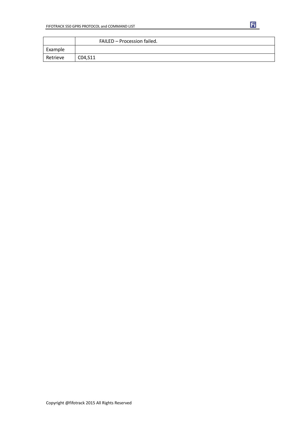|          | FAILED - Procession failed. |
|----------|-----------------------------|
| Example  |                             |
| Retrieve | C04, S11                    |

団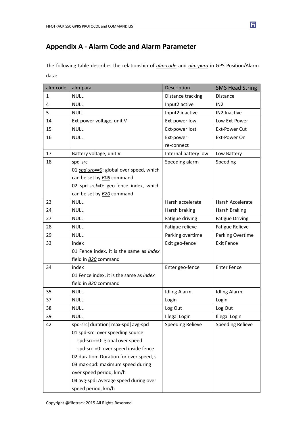### **Appendix A - Alarm Code and Alarm Parameter**

The following table describes the relationship of *alm-code* and *alm-para* in GPS Position/Alarm data:

| alm-code | alm-para                                       | Description             | <b>SMS Head String</b>  |
|----------|------------------------------------------------|-------------------------|-------------------------|
| 1        | <b>NULL</b>                                    | Distance tracking       | <b>Distance</b>         |
| 4        | <b>NULL</b>                                    | Input2 active           | IN <sub>2</sub>         |
| 5        | <b>NULL</b>                                    | Input2 inactive         | IN2 Inactive            |
| 14       | Ext-power voltage, unit V                      | Ext-power low           | Low Ext-Power           |
| 15       | <b>NULL</b>                                    | Ext-power lost          | <b>Ext-Power Cut</b>    |
| 16       | <b>NULL</b>                                    | Ext-power               | Ext-Power On            |
|          |                                                | re-connect              |                         |
| 17       | Battery voltage, unit V                        | Internal battery low    | Low Battery             |
| 18       | spd-src                                        | Speeding alarm          | Speeding                |
|          | 01 spd-src==0: global over speed, which        |                         |                         |
|          | can be set by <b>BO8</b> command               |                         |                         |
|          | 02 spd-src!=0: geo-fence index, which          |                         |                         |
|          | can be set by <b>B20</b> command               |                         |                         |
| 23       | <b>NULL</b>                                    | Harsh accelerate        | Harsh Accelerate        |
| 24       | <b>NULL</b>                                    | Harsh braking           | <b>Harsh Braking</b>    |
| 27       | <b>NULL</b>                                    | Fatigue driving         | <b>Fatigue Driving</b>  |
| 28       | <b>NULL</b>                                    | Fatigue relieve         | <b>Fatigue Relieve</b>  |
| 29       | <b>NULL</b>                                    | Parking overtime        | Parking Overtime        |
| 33       | index                                          | Exit geo-fence          | <b>Exit Fence</b>       |
|          | 01 Fence index, it is the same as <i>index</i> |                         |                         |
|          | field in B20 command                           |                         |                         |
| 34       | index                                          | Enter geo-fence         | <b>Enter Fence</b>      |
|          | 01 Fence index, it is the same as index        |                         |                         |
|          | field in B20 command                           |                         |                         |
| 35       | <b>NULL</b>                                    | <b>Idling Alarm</b>     | <b>Idling Alarm</b>     |
| 37       | <b>NULL</b>                                    | Login                   | Login                   |
| 38       | <b>NULL</b>                                    | Log Out                 | Log Out                 |
| 39       | <b>NULL</b>                                    | <b>Illegal Login</b>    | Illegal Login           |
| 42       | spd-src duration max-spd avg-spd               | <b>Speeding Relieve</b> | <b>Speeding Relieve</b> |
|          | 01 spd-src: over speeding source               |                         |                         |
|          | spd-src==0: global over speed                  |                         |                         |
|          | spd-src!=0: over speed inside fence            |                         |                         |
|          | 02 duration: Duration for over speed, s        |                         |                         |
|          | 03 max-spd: maximum speed during               |                         |                         |
|          | over speed period, km/h                        |                         |                         |
|          | 04 avg-spd: Average speed during over          |                         |                         |
|          | speed period, km/h                             |                         |                         |

 $\overline{\mathbf{H}}$